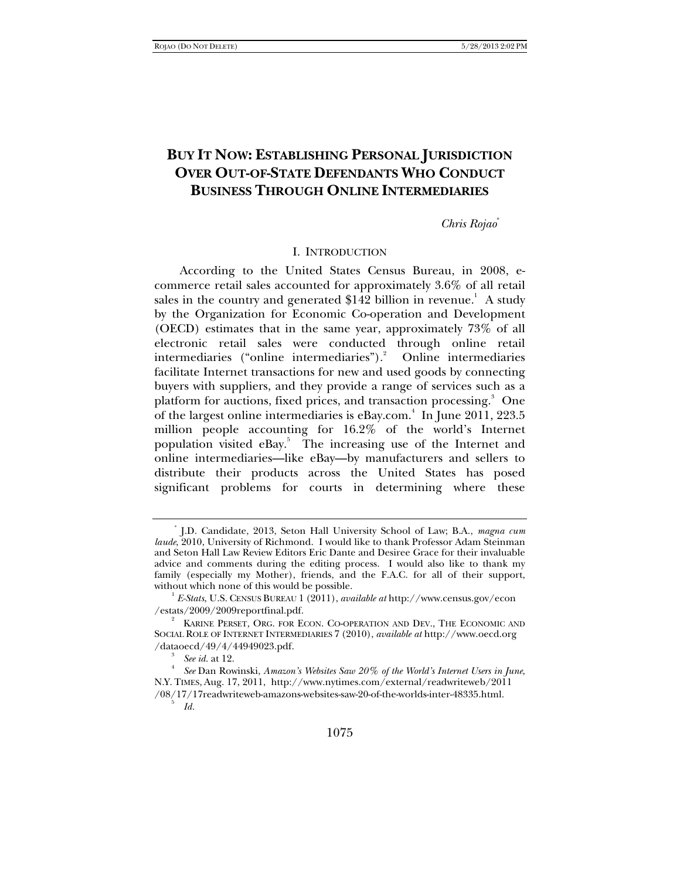# **BUY IT NOW: ESTABLISHING PERSONAL JURISDICTION OVER OUT-OF-STATE DEFENDANTS WHO CONDUCT BUSINESS THROUGH ONLINE INTERMEDIARIES**

### *Chris Rojao*\*

### I. INTRODUCTION

According to the United States Census Bureau, in 2008, ecommerce retail sales accounted for approximately 3.6% of all retail sales in the country and generated \$142 billion in revenue.<sup>1</sup> A study by the Organization for Economic Co-operation and Development (OECD) estimates that in the same year, approximately 73% of all electronic retail sales were conducted through online retail intermediaries ("online intermediaries").<sup>2</sup> Online intermediaries facilitate Internet transactions for new and used goods by connecting buyers with suppliers, and they provide a range of services such as a platform for auctions, fixed prices, and transaction processing.<sup>3</sup> One of the largest online intermediaries is eBay.com.<sup>4</sup> In June 2011, 223.5 million people accounting for 16.2% of the world's Internet population visited eBay.<sup>5</sup> The increasing use of the Internet and online intermediaries—like eBay—by manufacturers and sellers to distribute their products across the United States has posed significant problems for courts in determining where these

<sup>\*</sup> J.D. Candidate, 2013, Seton Hall University School of Law; B.A., *magna cum laude*, 2010, University of Richmond. I would like to thank Professor Adam Steinman and Seton Hall Law Review Editors Eric Dante and Desiree Grace for their invaluable advice and comments during the editing process. I would also like to thank my family (especially my Mother), friends, and the F.A.C. for all of their support, without which none of this would be possible.

 $\frac{1}{2}$ *E-Stats*, U.S. CENSUS BUREAU 1 (2011), *available at* http://www.census.gov/econ /estats/2009/2009reportfinal.pdf.

<sup>2</sup> KARINE PERSET, ORG. FOR ECON. CO-OPERATION AND DEV., THE ECONOMIC AND SOCIAL ROLE OF INTERNET INTERMEDIARIES 7 (2010), *available at* http://www.oecd.org /dataoecd/49/4/44949023.pdf. 3

*See id.* at 12.

*See* Dan Rowinski, *Amazon's Websites Saw 20% of the World's Internet Users in June*, N.Y. TIMES, Aug. 17, 2011, http://www.nytimes.com/external/readwriteweb/2011 /08/17/17readwriteweb-amazons-websites-saw-20-of-the-worlds-inter-48335.html. 5 *Id.*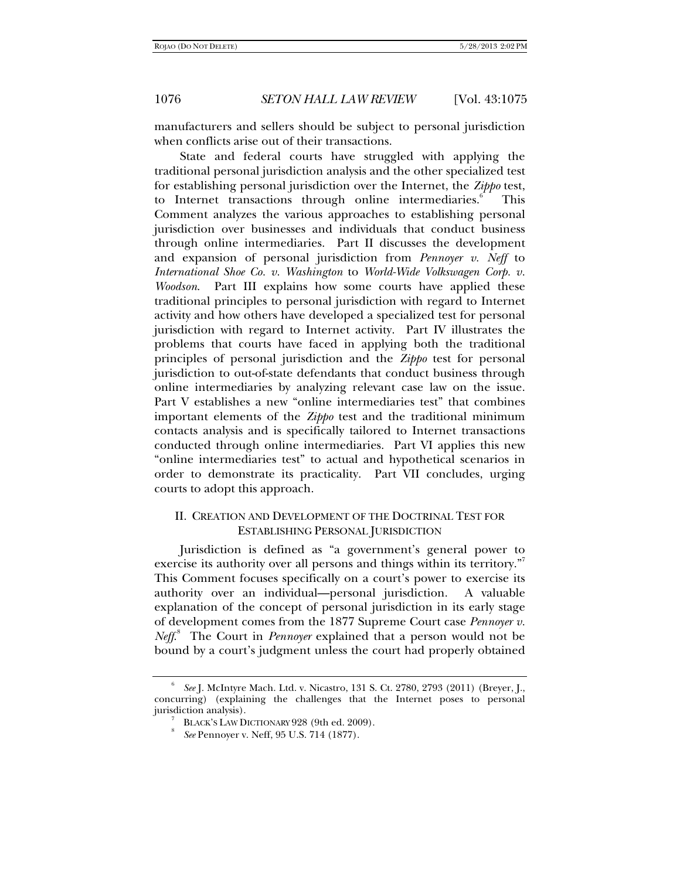manufacturers and sellers should be subject to personal jurisdiction when conflicts arise out of their transactions.

State and federal courts have struggled with applying the traditional personal jurisdiction analysis and the other specialized test for establishing personal jurisdiction over the Internet, the *Zippo* test, to Internet transactions through online intermediaries.<sup>6</sup> This Comment analyzes the various approaches to establishing personal jurisdiction over businesses and individuals that conduct business through online intermediaries. Part II discusses the development and expansion of personal jurisdiction from *Pennoyer v. Neff* to *International Shoe Co. v. Washington* to *World-Wide Volkswagen Corp. v. Woodson*. Part III explains how some courts have applied these traditional principles to personal jurisdiction with regard to Internet activity and how others have developed a specialized test for personal jurisdiction with regard to Internet activity. Part IV illustrates the problems that courts have faced in applying both the traditional principles of personal jurisdiction and the *Zippo* test for personal jurisdiction to out-of-state defendants that conduct business through online intermediaries by analyzing relevant case law on the issue. Part V establishes a new "online intermediaries test" that combines important elements of the *Zippo* test and the traditional minimum contacts analysis and is specifically tailored to Internet transactions conducted through online intermediaries. Part VI applies this new "online intermediaries test" to actual and hypothetical scenarios in order to demonstrate its practicality. Part VII concludes, urging courts to adopt this approach.

## II. CREATION AND DEVELOPMENT OF THE DOCTRINAL TEST FOR ESTABLISHING PERSONAL JURISDICTION

Jurisdiction is defined as "a government's general power to exercise its authority over all persons and things within its territory."<sup>7</sup> This Comment focuses specifically on a court's power to exercise its authority over an individual—personal jurisdiction. A valuable explanation of the concept of personal jurisdiction in its early stage of development comes from the 1877 Supreme Court case *Pennoyer v.*  Neff.<sup>8</sup> The Court in *Pennoyer* explained that a person would not be bound by a court's judgment unless the court had properly obtained

<sup>6</sup> *See* J. McIntyre Mach. Ltd. v. Nicastro, 131 S. Ct. 2780, 2793 (2011) (Breyer, J., concurring) (explaining the challenges that the Internet poses to personal jurisdiction analysis).

BLACK'S LAW DICTIONARY 928 (9th ed. 2009).

*See* Pennoyer v. Neff, 95 U.S. 714 (1877).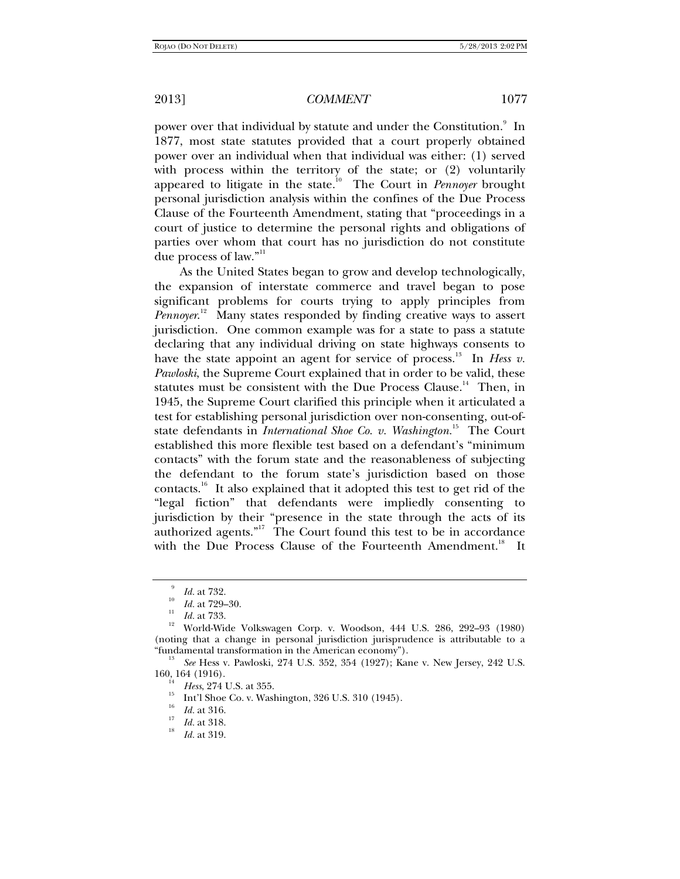power over that individual by statute and under the Constitution.<sup>9</sup> In 1877, most state statutes provided that a court properly obtained power over an individual when that individual was either: (1) served with process within the territory of the state; or (2) voluntarily appeared to litigate in the state.10 The Court in *Pennoyer* brought personal jurisdiction analysis within the confines of the Due Process Clause of the Fourteenth Amendment, stating that "proceedings in a court of justice to determine the personal rights and obligations of parties over whom that court has no jurisdiction do not constitute due process of law."<sup>11</sup>

As the United States began to grow and develop technologically, the expansion of interstate commerce and travel began to pose significant problems for courts trying to apply principles from *Pennoyer*. 12 Many states responded by finding creative ways to assert jurisdiction. One common example was for a state to pass a statute declaring that any individual driving on state highways consents to have the state appoint an agent for service of process.<sup>13</sup> In *Hess v. Pawloski*, the Supreme Court explained that in order to be valid, these statutes must be consistent with the Due Process Clause.<sup>14</sup> Then, in 1945, the Supreme Court clarified this principle when it articulated a test for establishing personal jurisdiction over non-consenting, out-ofstate defendants in *International Shoe Co. v. Washington*.<sup>15</sup> The Court established this more flexible test based on a defendant's "minimum contacts" with the forum state and the reasonableness of subjecting the defendant to the forum state's jurisdiction based on those contacts.<sup>16</sup> It also explained that it adopted this test to get rid of the "legal fiction" that defendants were impliedly consenting to jurisdiction by their "presence in the state through the acts of its authorized agents."<sup>17</sup> The Court found this test to be in accordance with the Due Process Clause of the Fourteenth Amendment.<sup>18</sup> It

<sup>9</sup>

<sup>&</sup>lt;sup>9</sup> *Id.* at 732.<br><sup>10</sup> *Id.* at 729–30.<br><sup>11</sup> *Id.* at 733.

<sup>&</sup>lt;sup>12</sup> World-Wide Volkswagen Corp. v. Woodson, 444 U.S. 286, 292-93 (1980) (noting that a change in personal jurisdiction jurisprudence is attributable to a "fundamental transformation in the American economy"). 13

*See* Hess v. Pawloski, 274 U.S. 352, 354 (1927); Kane v. New Jersey, 242 U.S. 160, 164 (1916).<br><sup>14</sup> *Hess*, 274 U.S. at 355.

<sup>&</sup>lt;sup>15</sup> Int'l Shoe Co. v. Washington, 326 U.S. 310 (1945).<br><sup>16</sup> Id. at 316.

<sup>16</sup>

 $I_1^{\prime\prime}$  *Id.* at 318.

*Id.* at 319.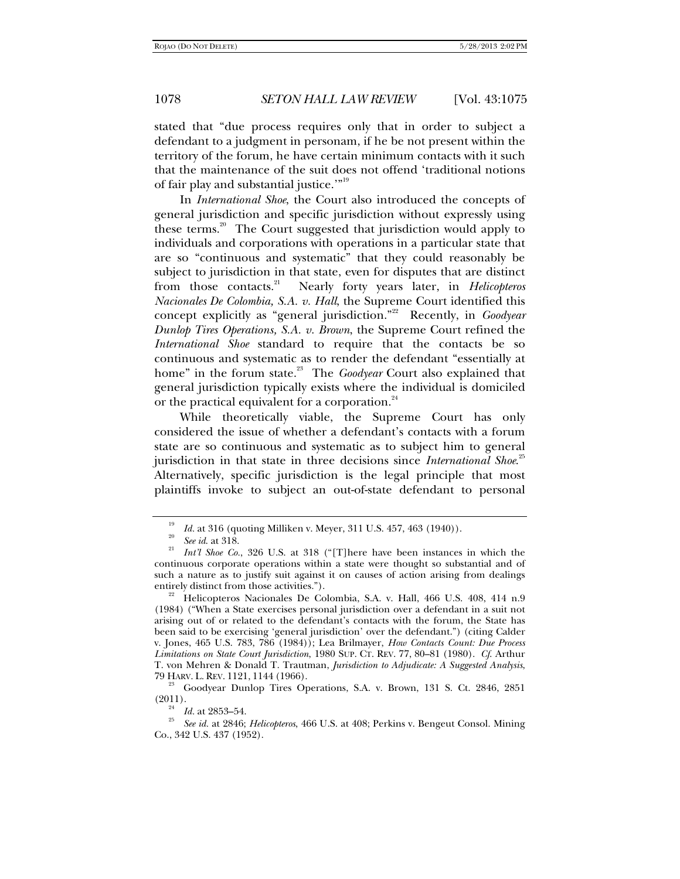stated that "due process requires only that in order to subject a defendant to a judgment in personam, if he be not present within the territory of the forum, he have certain minimum contacts with it such that the maintenance of the suit does not offend 'traditional notions of fair play and substantial justice.'"19

In *International Shoe*, the Court also introduced the concepts of general jurisdiction and specific jurisdiction without expressly using these terms.<sup>20</sup> The Court suggested that jurisdiction would apply to individuals and corporations with operations in a particular state that are so "continuous and systematic" that they could reasonably be subject to jurisdiction in that state, even for disputes that are distinct from those contacts.21 Nearly forty years later, in *Helicopteros Nacionales De Colombia, S.A. v. Hall*, the Supreme Court identified this concept explicitly as "general jurisdiction."<sup>22</sup> Recently, in *Goodyear Dunlop Tires Operations, S.A. v. Brown*, the Supreme Court refined the *International Shoe* standard to require that the contacts be so continuous and systematic as to render the defendant "essentially at home" in the forum state.<sup>23</sup> The *Goodyear* Court also explained that general jurisdiction typically exists where the individual is domiciled or the practical equivalent for a corporation.<sup>24</sup>

While theoretically viable, the Supreme Court has only considered the issue of whether a defendant's contacts with a forum state are so continuous and systematic as to subject him to general jurisdiction in that state in three decisions since *International Shoe*. 25 Alternatively, specific jurisdiction is the legal principle that most plaintiffs invoke to subject an out-of-state defendant to personal

<sup>19</sup> <sup>19</sup> *Id.* at 316 (quoting Milliken v. Meyer, 311 U.S. 457, 463 (1940)).<br><sup>20</sup> *See id.* at 318.

<sup>&</sup>lt;sup>21</sup> *Int'l Shoe Co.*, 326 U.S. at 318 ("[T]here have been instances in which the continuous corporate operations within a state were thought so substantial and of such a nature as to justify suit against it on causes of action arising from dealings entirely distinct from those activities.").

Helicopteros Nacionales De Colombia, S.A. v. Hall, 466 U.S. 408, 414 n.9 (1984) ("When a State exercises personal jurisdiction over a defendant in a suit not arising out of or related to the defendant's contacts with the forum, the State has been said to be exercising 'general jurisdiction' over the defendant.") (citing Calder v. Jones, 465 U.S. 783, 786 (1984)); Lea Brilmayer, *How Contacts Count: Due Process Limitations on State Court Jurisdiction*, 1980 SUP. CT. REV. 77, 80–81 (1980). *Cf*. Arthur T. von Mehren & Donald T. Trautman, *Jurisdiction to Adjudicate: A Suggested Analysis*,

<sup>&</sup>lt;sup>23</sup> Goodyear Dunlop Tires Operations, S.A. v. Brown, 131 S. Ct. 2846, 2851 (2011).

<sup>(2011). 24</sup> *Id.* at 2853–54. 25 *See id.* at 2846; *Helicopteros*, 466 U.S. at 408; Perkins v. Bengeut Consol. Mining Co., 342 U.S. 437 (1952).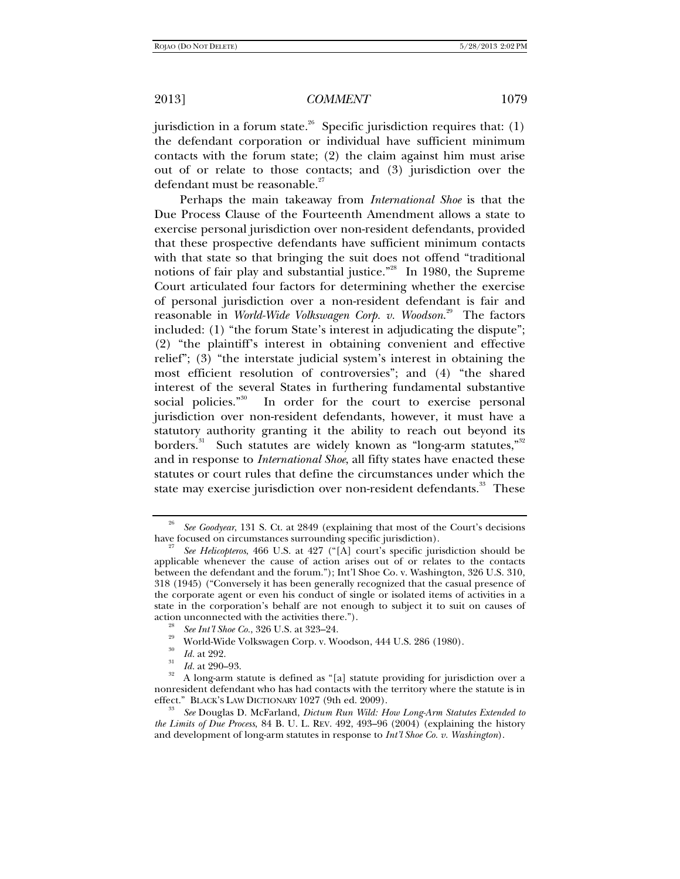jurisdiction in a forum state.<sup>26</sup> Specific jurisdiction requires that: (1) the defendant corporation or individual have sufficient minimum contacts with the forum state; (2) the claim against him must arise out of or relate to those contacts; and (3) jurisdiction over the defendant must be reasonable.<sup>27</sup>

Perhaps the main takeaway from *International Shoe* is that the Due Process Clause of the Fourteenth Amendment allows a state to exercise personal jurisdiction over non-resident defendants, provided that these prospective defendants have sufficient minimum contacts with that state so that bringing the suit does not offend "traditional notions of fair play and substantial justice."<sup>28</sup> In 1980, the Supreme Court articulated four factors for determining whether the exercise of personal jurisdiction over a non-resident defendant is fair and reasonable in *World-Wide Volkswagen Corp. v. Woodson*. 29 The factors included: (1) "the forum State's interest in adjudicating the dispute"; (2) "the plaintiff's interest in obtaining convenient and effective relief"; (3) "the interstate judicial system's interest in obtaining the most efficient resolution of controversies"; and (4) "the shared interest of the several States in furthering fundamental substantive social policies."<sup>30</sup> In order for the court to exercise personal jurisdiction over non-resident defendants, however, it must have a statutory authority granting it the ability to reach out beyond its borders.<sup>31</sup> Such statutes are widely known as "long-arm statutes,"<sup>32</sup> and in response to *International Shoe*, all fifty states have enacted these statutes or court rules that define the circumstances under which the state may exercise jurisdiction over non-resident defendants.<sup>33</sup> These

<sup>26</sup> *See Goodyear*, 131 S. Ct. at 2849 (explaining that most of the Court's decisions have focused on circumstances surrounding specific jurisdiction).

*See Helicopteros*, 466 U.S. at 427 ("[A] court's specific jurisdiction should be applicable whenever the cause of action arises out of or relates to the contacts between the defendant and the forum."); Int'l Shoe Co. v. Washington, 326 U.S. 310, 318 (1945) ("Conversely it has been generally recognized that the casual presence of the corporate agent or even his conduct of single or isolated items of activities in a state in the corporation's behalf are not enough to subject it to suit on causes of action unconnected with the activities there.").<br><sup>28</sup> See Int'l Shoe Co., 326 U.S. at 323–24.

<sup>&</sup>lt;sup>29</sup> World-Wide Volkswagen Corp. v. Woodson, 444 U.S. 286 (1980).

<sup>30</sup>

 $\frac{30}{31}$  *Id.* at 292.<br>*Id.* at 290–93.

<sup>&</sup>lt;sup>32</sup> A long-arm statute is defined as "[a] statute providing for jurisdiction over a nonresident defendant who has had contacts with the territory where the statute is in effect." BLACK's LAW DICTIONARY 1027 (9th ed. 2009).

See Douglas D. McFarland, *Dictum Run Wild: How Long-Arm Statutes Extended to the Limits of Due Process*, 84 B. U. L. REV. 492, 493–96 (2004) (explaining the history and development of long-arm statutes in response to *Int'l Shoe Co. v. Washington*).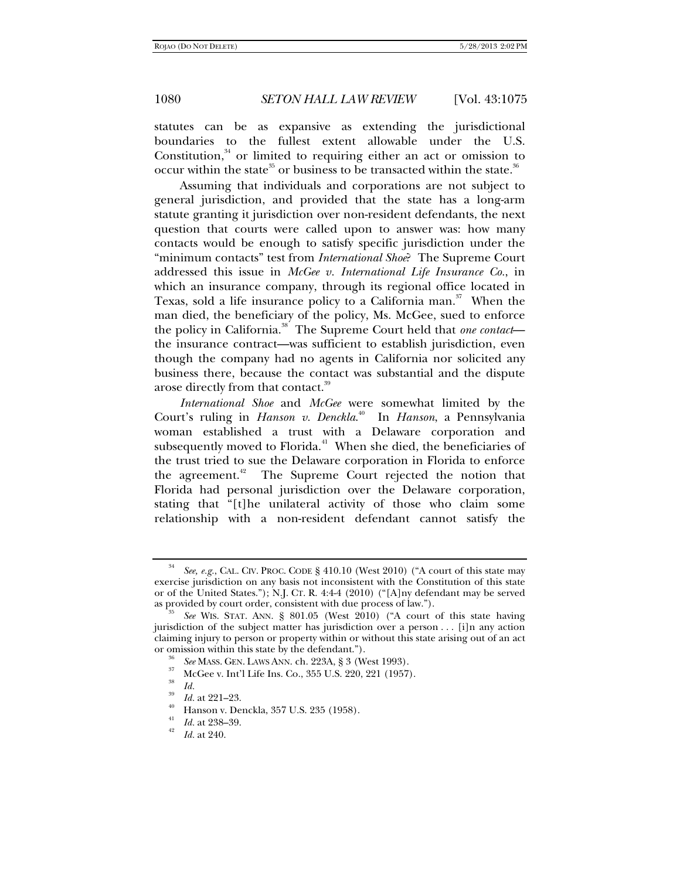statutes can be as expansive as extending the jurisdictional boundaries to the fullest extent allowable under the U.S. Constitution, $34$  or limited to requiring either an act or omission to occur within the state. $35$  or business to be transacted within the state. $36$ 

Assuming that individuals and corporations are not subject to general jurisdiction, and provided that the state has a long-arm statute granting it jurisdiction over non-resident defendants, the next question that courts were called upon to answer was: how many contacts would be enough to satisfy specific jurisdiction under the "minimum contacts" test from *International Shoe*? The Supreme Court addressed this issue in *McGee v. International Life Insurance Co.*, in which an insurance company, through its regional office located in Texas, sold a life insurance policy to a California man.<sup>37</sup> When the man died, the beneficiary of the policy, Ms. McGee, sued to enforce the policy in California.38 The Supreme Court held that *one contact* the insurance contract—was sufficient to establish jurisdiction, even though the company had no agents in California nor solicited any business there, because the contact was substantial and the dispute arose directly from that contact.<sup>39</sup>

*International Shoe* and *McGee* were somewhat limited by the Court's ruling in *Hanson v. Denckla*. 40 In *Hanson*, a Pennsylvania woman established a trust with a Delaware corporation and subsequently moved to Florida.<sup>41</sup> When she died, the beneficiaries of the trust tried to sue the Delaware corporation in Florida to enforce the agreement.<sup>42</sup> The Supreme Court rejected the notion that Florida had personal jurisdiction over the Delaware corporation, stating that "[t]he unilateral activity of those who claim some relationship with a non-resident defendant cannot satisfy the

<sup>34</sup> *See, e.g.*, CAL. CIV. PROC. CODE § 410.10 (West 2010) ("A court of this state may exercise jurisdiction on any basis not inconsistent with the Constitution of this state or of the United States."); N.J. CT. R. 4:4-4 (2010) ("[A]ny defendant may be served as provided by court order, consistent with due process of law.").

*See* WIS. STAT. ANN. § 801.05 (West 2010) ("A court of this state having jurisdiction of the subject matter has jurisdiction over a person . . . [i]n any action claiming injury to person or property within or without this state arising out of an act or omission within this state by the defendant.").<br><sup>36</sup> *See* MASS. GEN. LAWS ANN. ch. 223A, § 3 (West 1993).<br><sup>37</sup> McGee v. Int'l Life Ins. Co., 355 U.S. 220, 221 (1957).

<sup>38</sup>

*Id.* <sup>39</sup>*Id.* at 221–23. 40 Hanson v. Denckla, 357 U.S. 235 (1958).

<sup>&</sup>lt;sup>41</sup> *Id.* at 238–39.

*Id.* at 240.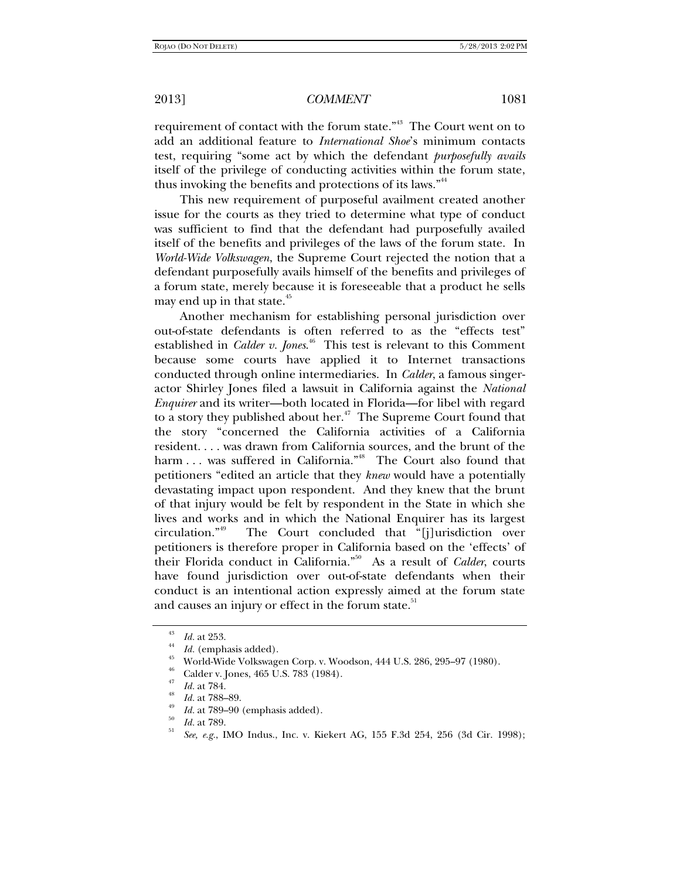requirement of contact with the forum state."<sup>43</sup> The Court went on to add an additional feature to *International Shoe*'s minimum contacts test, requiring "some act by which the defendant *purposefully avails* itself of the privilege of conducting activities within the forum state, thus invoking the benefits and protections of its laws."<sup>44</sup>

This new requirement of purposeful availment created another issue for the courts as they tried to determine what type of conduct was sufficient to find that the defendant had purposefully availed itself of the benefits and privileges of the laws of the forum state. In *World-Wide Volkswagen*, the Supreme Court rejected the notion that a defendant purposefully avails himself of the benefits and privileges of a forum state, merely because it is foreseeable that a product he sells may end up in that state. $45$ 

Another mechanism for establishing personal jurisdiction over out-of-state defendants is often referred to as the "effects test" established in *Calder v. Jones*. 46 This test is relevant to this Comment because some courts have applied it to Internet transactions conducted through online intermediaries. In *Calder*, a famous singeractor Shirley Jones filed a lawsuit in California against the *National Enquirer* and its writer—both located in Florida—for libel with regard to a story they published about her. $47$  The Supreme Court found that the story "concerned the California activities of a California resident. . . . was drawn from California sources, and the brunt of the harm ... was suffered in California."<sup>48</sup> The Court also found that petitioners "edited an article that they *knew* would have a potentially devastating impact upon respondent. And they knew that the brunt of that injury would be felt by respondent in the State in which she lives and works and in which the National Enquirer has its largest circulation."<sup>49</sup> The Court concluded that "[j]urisdiction over The Court concluded that "[j]urisdiction over petitioners is therefore proper in California based on the 'effects' of their Florida conduct in California."50 As a result of *Calder*, courts have found jurisdiction over out-of-state defendants when their conduct is an intentional action expressly aimed at the forum state and causes an injury or effect in the forum state.<sup>51</sup>

 $\frac{43}{44}$  *Id.* at 253.<br> $\frac{44}{1}$  *Id.* (emphasis added).

 $\frac{45}{10}$  World-Wide Volkswagen Corp. v. Woodson, 444 U.S. 286, 295–97 (1980).

Calder v. Jones, 465 U.S. 783 (1984).

<sup>47</sup> *Id.* at 784.<br>*Id.* at 788–89.

<sup>&</sup>lt;sup>49</sup> *Id.* at 789–90 (emphasis added).<br>
<sup>50</sup> *Id.* at 789.

*See, e.g.*, IMO Indus., Inc. v. Kiekert AG, 155 F.3d 254, 256 (3d Cir. 1998);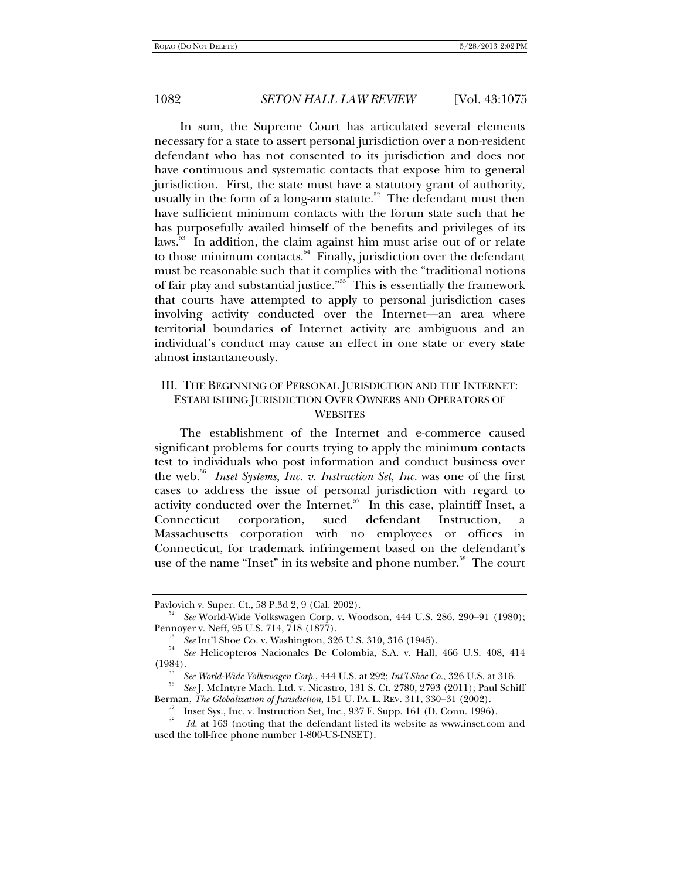In sum, the Supreme Court has articulated several elements necessary for a state to assert personal jurisdiction over a non-resident defendant who has not consented to its jurisdiction and does not have continuous and systematic contacts that expose him to general jurisdiction. First, the state must have a statutory grant of authority, usually in the form of a long-arm statute.<sup>52</sup> The defendant must then have sufficient minimum contacts with the forum state such that he has purposefully availed himself of the benefits and privileges of its laws.<sup>53</sup> In addition, the claim against him must arise out of or relate to those minimum contacts. $54$  Finally, jurisdiction over the defendant must be reasonable such that it complies with the "traditional notions of fair play and substantial justice."<sup>55</sup> This is essentially the framework that courts have attempted to apply to personal jurisdiction cases involving activity conducted over the Internet—an area where territorial boundaries of Internet activity are ambiguous and an individual's conduct may cause an effect in one state or every state almost instantaneously.

## III. THE BEGINNING OF PERSONAL JURISDICTION AND THE INTERNET: ESTABLISHING JURISDICTION OVER OWNERS AND OPERATORS OF **WEBSITES**

The establishment of the Internet and e-commerce caused significant problems for courts trying to apply the minimum contacts test to individuals who post information and conduct business over the web.56 *Inset Systems, Inc. v. Instruction Set, Inc.* was one of the first cases to address the issue of personal jurisdiction with regard to activity conducted over the Internet.<sup>57</sup> In this case, plaintiff Inset, a Connecticut corporation, sued defendant Instruction, a Massachusetts corporation with no employees or offices in Connecticut, for trademark infringement based on the defendant's use of the name "Inset" in its website and phone number.<sup>58</sup> The court

<sup>56</sup> See J. McIntyre Mach. Ltd. v. Nicastro, 131 S. Ct. 2780, 2793 (2011); Paul Schiff Berman, *The Globalization of Jurisdiction*, 151 U. PA. L. REV. 311, 330–31 (2002). 57 Inset Sys., Inc. v. Instruction Set, Inc., 937 F. Supp. 161 (D. Conn. 1996).

Pavlovich v. Super. Ct., 58 P.3d 2, 9 (Cal. 2002). 52 *See* World-Wide Volkswagen Corp. v. Woodson, 444 U.S. 286, 290–91 (1980); Pennoyer v. Neff, 95 U.S. 714, 718 (1877).<br><sup>53</sup> *See* Int'l Shoe Co. v. Washington, 326 U.S. 310, 316 (1945).

*See* Helicopteros Nacionales De Colombia, S.A. v. Hall, 466 U.S. 408, 414 (1984).<br> $55$  See World-Wide Volkswagen Corp., 444 U.S. at 292; Int'l Shoe Co., 326 U.S. at 316.

<sup>58</sup>

*Id.* at 163 (noting that the defendant listed its website as www.inset.com and used the toll-free phone number 1-800-US-INSET).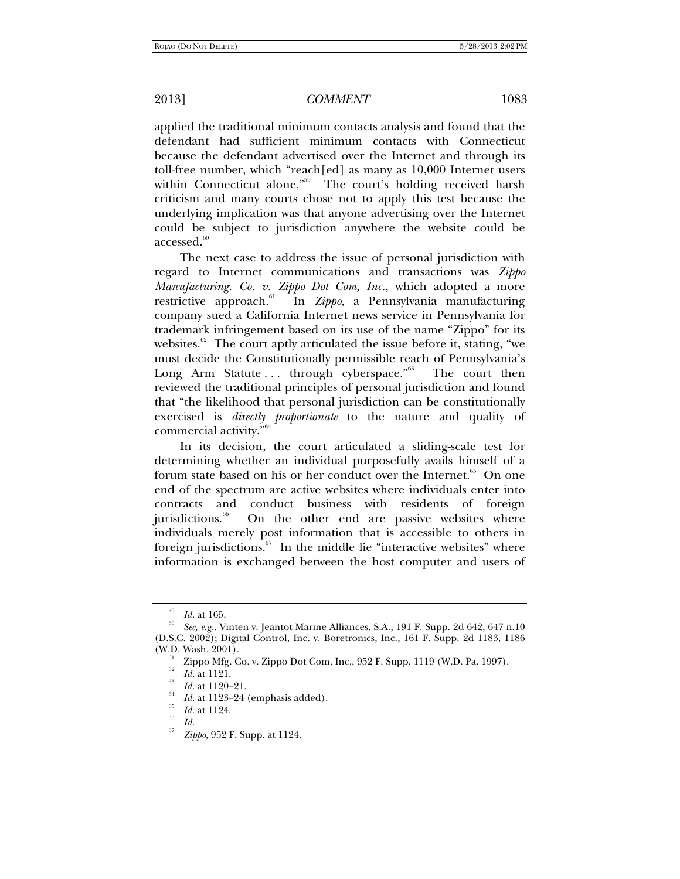applied the traditional minimum contacts analysis and found that the defendant had sufficient minimum contacts with Connecticut because the defendant advertised over the Internet and through its toll-free number, which "reach[ed] as many as 10,000 Internet users within Connecticut alone."<sup>59</sup> The court's holding received harsh criticism and many courts chose not to apply this test because the underlying implication was that anyone advertising over the Internet could be subject to jurisdiction anywhere the website could be accessed.<sup>60</sup>

The next case to address the issue of personal jurisdiction with regard to Internet communications and transactions was *Zippo Manufacturing. Co. v. Zippo Dot Com, Inc.*, which adopted a more restrictive approach. $61$ In *Zippo*, a Pennsylvania manufacturing company sued a California Internet news service in Pennsylvania for trademark infringement based on its use of the name "Zippo" for its websites. $62$  The court aptly articulated the issue before it, stating, "we must decide the Constitutionally permissible reach of Pennsylvania's Long Arm Statute ... through cyberspace."<sup>63</sup> The court then reviewed the traditional principles of personal jurisdiction and found that "the likelihood that personal jurisdiction can be constitutionally exercised is *directly proportionate* to the nature and quality of commercial activity."64

In its decision, the court articulated a sliding-scale test for determining whether an individual purposefully avails himself of a forum state based on his or her conduct over the Internet.<sup>65</sup> On one end of the spectrum are active websites where individuals enter into contracts and conduct business with residents of foreign jurisdictions.<sup>66</sup> On the other end are passive websites where individuals merely post information that is accessible to others in foreign jurisdictions. $67$  In the middle lie "interactive websites" where information is exchanged between the host computer and users of

<sup>&</sup>lt;sup>59</sup> *Id.* at 165.

*See, e.g.*, Vinten v. Jeantot Marine Alliances, S.A., 191 F. Supp. 2d 642, 647 n.10 (D.S.C. 2002); Digital Control, Inc. v. Boretronics, Inc., 161 F. Supp. 2d 1183, 1186 (W.D. Wash. 2001).<br><sup>61</sup> Zippo Mfg. Co. v. Zippo Dot Com, Inc., 952 F. Supp. 1119 (W.D. Pa. 1997).

*Id.* at 1121.<br>*Id.* at 1120–21.

*Id.* at 1123–24 (emphasis added).

 $\frac{1}{66}$  *Id.* at 1124.

*Zippo*, 952 F. Supp. at 1124.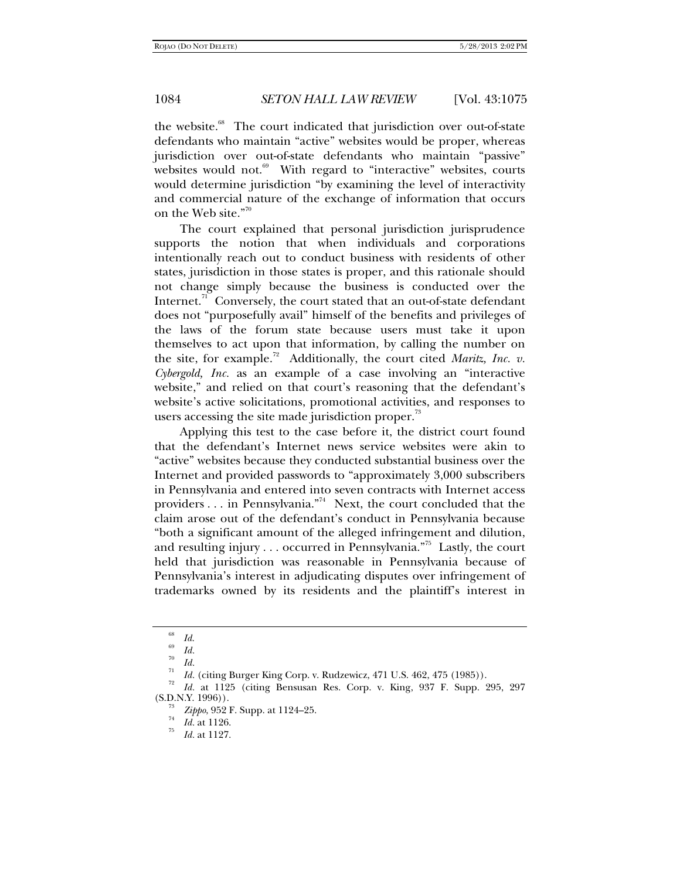the website.<sup>68</sup> The court indicated that jurisdiction over out-of-state defendants who maintain "active" websites would be proper, whereas jurisdiction over out-of-state defendants who maintain "passive" websites would not.<sup>69</sup> With regard to "interactive" websites, courts would determine jurisdiction "by examining the level of interactivity and commercial nature of the exchange of information that occurs on the Web site."<sup>70</sup>

The court explained that personal jurisdiction jurisprudence supports the notion that when individuals and corporations intentionally reach out to conduct business with residents of other states, jurisdiction in those states is proper, and this rationale should not change simply because the business is conducted over the Internet. $^{71}$  Conversely, the court stated that an out-of-state defendant does not "purposefully avail" himself of the benefits and privileges of the laws of the forum state because users must take it upon themselves to act upon that information, by calling the number on the site, for example.<sup>72</sup> Additionally, the court cited *Maritz*, *Inc. v. Cybergold, Inc.* as an example of a case involving an "interactive website," and relied on that court's reasoning that the defendant's website's active solicitations, promotional activities, and responses to users accessing the site made jurisdiction proper.<sup>73</sup>

Applying this test to the case before it, the district court found that the defendant's Internet news service websites were akin to "active" websites because they conducted substantial business over the Internet and provided passwords to "approximately 3,000 subscribers in Pennsylvania and entered into seven contracts with Internet access providers . . . in Pennsylvania."74 Next, the court concluded that the claim arose out of the defendant's conduct in Pennsylvania because "both a significant amount of the alleged infringement and dilution, and resulting injury . . . occurred in Pennsylvania."<sup>75</sup> Lastly, the court held that jurisdiction was reasonable in Pennsylvania because of Pennsylvania's interest in adjudicating disputes over infringement of trademarks owned by its residents and the plaintiff's interest in

<sup>68</sup> *Id*. 69 *Id.* 70

<sup>&</sup>lt;sup>71</sup> *Id.* (citing Burger King Corp. v. Rudzewicz, 471 U.S. 462, 475 (1985)).<br><sup>72</sup> *Id.* at 1125 (citing Bensusan Res. Corp. v. King, 937 F. Supp. 295, 297  $(S.D.N.Y. 1996)$ .

<sup>&</sup>lt;sup>73</sup> *Zippo*, 952 F. Supp. at 1124–25.<br> *Id.* at 1126.<br>
<sup>75</sup>

*Id.* at 1127.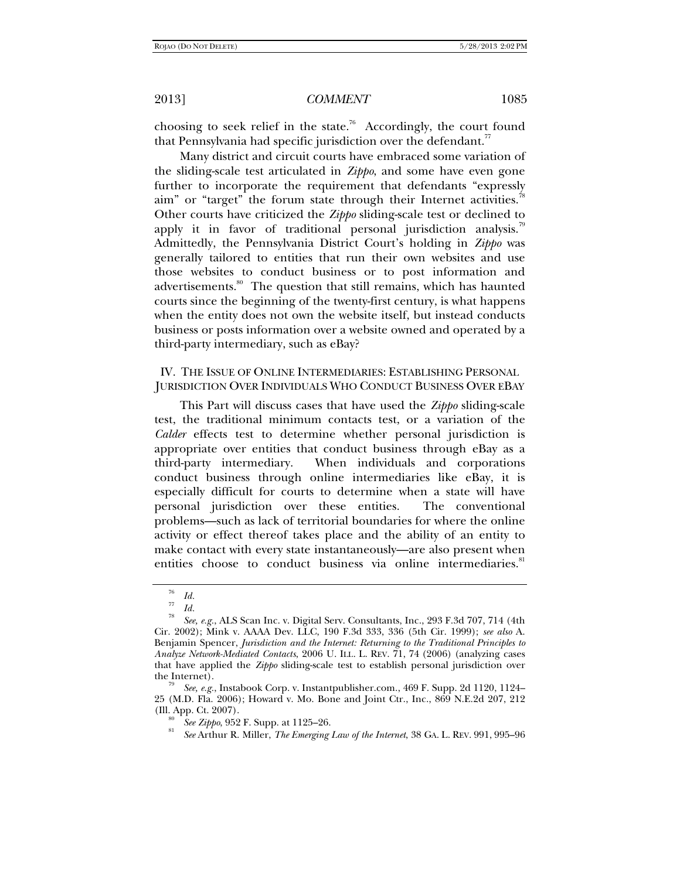choosing to seek relief in the state.<sup>76</sup> Accordingly, the court found that Pennsylvania had specific jurisdiction over the defendant. $77$ 

Many district and circuit courts have embraced some variation of the sliding-scale test articulated in *Zippo*, and some have even gone further to incorporate the requirement that defendants "expressly aim" or "target" the forum state through their Internet activities.<sup>78</sup> Other courts have criticized the *Zippo* sliding-scale test or declined to apply it in favor of traditional personal jurisdiction analysis.<sup>19</sup> Admittedly, the Pennsylvania District Court's holding in *Zippo* was generally tailored to entities that run their own websites and use those websites to conduct business or to post information and advertisements.<sup>80</sup> The question that still remains, which has haunted courts since the beginning of the twenty-first century, is what happens when the entity does not own the website itself, but instead conducts business or posts information over a website owned and operated by a third-party intermediary, such as eBay?

IV. THE ISSUE OF ONLINE INTERMEDIARIES: ESTABLISHING PERSONAL JURISDICTION OVER INDIVIDUALS WHO CONDUCT BUSINESS OVER EBAY

This Part will discuss cases that have used the *Zippo* sliding-scale test, the traditional minimum contacts test, or a variation of the *Calder* effects test to determine whether personal jurisdiction is appropriate over entities that conduct business through eBay as a third-party intermediary. When individuals and corporations conduct business through online intermediaries like eBay, it is especially difficult for courts to determine when a state will have personal jurisdiction over these entities. The conventional problems—such as lack of territorial boundaries for where the online activity or effect thereof takes place and the ability of an entity to make contact with every state instantaneously—are also present when entities choose to conduct business via online intermediaries.<sup>81</sup>

<sup>76</sup>*Id.* 77 *Id.* 78 *See, e.g.*, ALS Scan Inc. v. Digital Serv. Consultants, Inc., 293 F.3d 707, 714 (4th Cir. 2002); Mink v. AAAA Dev. LLC, 190 F.3d 333, 336 (5th Cir. 1999); *see also* A. Benjamin Spencer, *Jurisdiction and the Internet: Returning to the Traditional Principles to Analyze Network-Mediated Contacts*, 2006 U. ILL. L. REV. 71, 74 (2006) (analyzing cases that have applied the *Zippo* sliding-scale test to establish personal jurisdiction over

See, e.g., Instabook Corp. v. Instantpublisher.com., 469 F. Supp. 2d 1120, 1124– 25 (M.D. Fla. 2006); Howard v. Mo. Bone and Joint Ctr., Inc., 869 N.E.2d 207, 212 (Ill. App. Ct. 2007). 80 *See Zippo*, 952 F. Supp. at 1125–26. 81

*See* Arthur R. Miller, *The Emerging Law of the Internet*, 38 GA. L. REV. 991, 995–96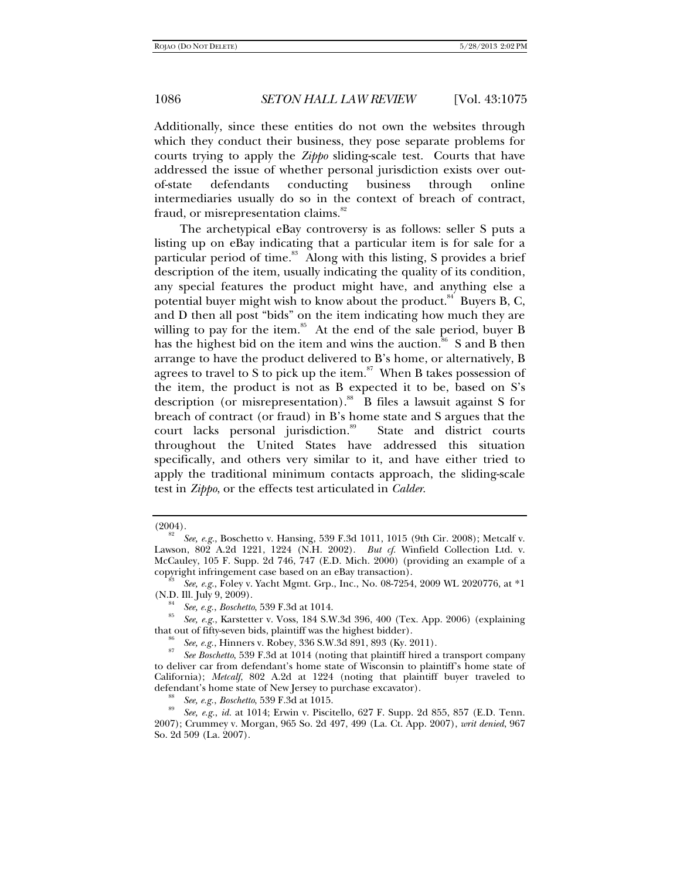Additionally, since these entities do not own the websites through which they conduct their business, they pose separate problems for courts trying to apply the *Zippo* sliding-scale test. Courts that have addressed the issue of whether personal jurisdiction exists over outof-state defendants conducting business through online intermediaries usually do so in the context of breach of contract, fraud, or misrepresentation claims.<sup>82</sup>

The archetypical eBay controversy is as follows: seller S puts a listing up on eBay indicating that a particular item is for sale for a particular period of time.<sup>83</sup> Along with this listing, S provides a brief description of the item, usually indicating the quality of its condition, any special features the product might have, and anything else a potential buyer might wish to know about the product.<sup>84</sup> Buyers B, C, and D then all post "bids" on the item indicating how much they are willing to pay for the item. $85$  At the end of the sale period, buyer B has the highest bid on the item and wins the auction.<sup>86</sup> S and B then arrange to have the product delivered to B's home, or alternatively, B agrees to travel to S to pick up the item.<sup>87</sup> When B takes possession of the item, the product is not as B expected it to be, based on S's description (or misrepresentation).<sup>88</sup> B files a lawsuit against S for breach of contract (or fraud) in B's home state and S argues that the court lacks personal jurisdiction.<sup>89</sup> State and district courts throughout the United States have addressed this situation specifically, and others very similar to it, and have either tried to apply the traditional minimum contacts approach, the sliding-scale test in *Zippo*, or the effects test articulated in *Calder*.

 $(2004).$ 

*See, e.g.*, Boschetto v. Hansing, 539 F.3d 1011, 1015 (9th Cir. 2008); Metcalf v. Lawson, 802 A.2d 1221, 1224 (N.H. 2002). *But cf.* Winfield Collection Ltd. v. McCauley, 105 F. Supp. 2d 746, 747 (E.D. Mich. 2000) (providing an example of a copyright infringement case based on an eBay transaction).

*See, e.g.*, Foley v. Yacht Mgmt. Grp., Inc., No. 08-7254, 2009 WL 2020776, at \*1

<sup>(</sup>N.D. Ill. July 9, 2009). 84 *See, e.g.*, *Boschetto*, 539 F.3d at 1014. 85 *See, e.g.*, Karstetter v. Voss, 184 S.W.3d 396, 400 (Tex. App. 2006) (explaining that out of fifty-seven bids, plaintiff was the highest bidder).<br><sup>86</sup> See, e.g., Hinners v. Robey, 336 S.W.3d 891, 893 (Ky. 2011).

<sup>&</sup>lt;sup>87</sup> *See Boschetto*, 539 F.3d at 1014 (noting that plaintiff hired a transport company to deliver car from defendant's home state of Wisconsin to plaintiff's home state of California); *Metcalf*, 802 A.2d at 1224 (noting that plaintiff buyer traveled to defendant's home state of New Jersey to purchase excavator).

defendant's home state of New Jersey to purchase excavator). 88 *See, e.g.*, *Boschetto*, 539 F.3d at 1015. 89 *See, e.g.*, *id.* at 1014; Erwin v. Piscitello, 627 F. Supp. 2d 855, 857 (E.D. Tenn. 2007); Crummey v. Morgan, 965 So. 2d 497, 499 (La. Ct. App. 2007), *writ denied*, 967 So. 2d 509 (La. 2007).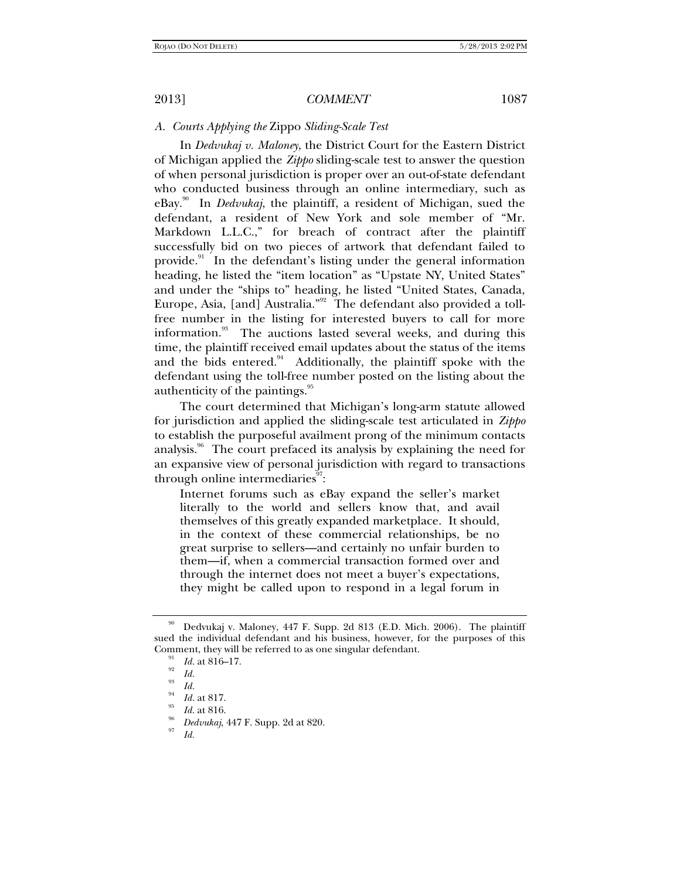## *A. Courts Applying the* Zippo *Sliding-Scale Test*

In *Dedvukaj v. Maloney*, the District Court for the Eastern District of Michigan applied the *Zippo* sliding-scale test to answer the question of when personal jurisdiction is proper over an out-of-state defendant who conducted business through an online intermediary, such as eBay.90 In *Dedvukaj*, the plaintiff, a resident of Michigan, sued the defendant, a resident of New York and sole member of "Mr. Markdown L.L.C.," for breach of contract after the plaintiff successfully bid on two pieces of artwork that defendant failed to provide.<sup>91</sup> In the defendant's listing under the general information heading, he listed the "item location" as "Upstate NY, United States" and under the "ships to" heading, he listed "United States, Canada, Europe, Asia, [and] Australia."92 The defendant also provided a tollfree number in the listing for interested buyers to call for more information.<sup>93</sup> The auctions lasted several weeks, and during this time, the plaintiff received email updates about the status of the items and the bids entered. $94$  Additionally, the plaintiff spoke with the defendant using the toll-free number posted on the listing about the authenticity of the paintings.95

The court determined that Michigan's long-arm statute allowed for jurisdiction and applied the sliding-scale test articulated in *Zippo* to establish the purposeful availment prong of the minimum contacts analysis.<sup>96</sup> The court prefaced its analysis by explaining the need for an expansive view of personal jurisdiction with regard to transactions through online intermediaries<sup>97</sup>:

Internet forums such as eBay expand the seller's market literally to the world and sellers know that, and avail themselves of this greatly expanded marketplace. It should, in the context of these commercial relationships, be no great surprise to sellers—and certainly no unfair burden to them—if, when a commercial transaction formed over and through the internet does not meet a buyer's expectations, they might be called upon to respond in a legal forum in

*Id.*

<sup>90</sup> Dedvukaj v. Maloney, 447 F. Supp. 2d 813 (E.D. Mich. 2006). The plaintiff sued the individual defendant and his business, however, for the purposes of this Comment, they will be referred to as one singular defendant.<br><sup>91</sup> *Id.* at 816–17.<br><sup>92</sup> *Id.* 93 *Id.* 

*Id.* at 817.<br>*Id.* at 816.

<sup>&</sup>lt;sup>96</sup> *Dedvukaj*, 447 F. Supp. 2d at 820.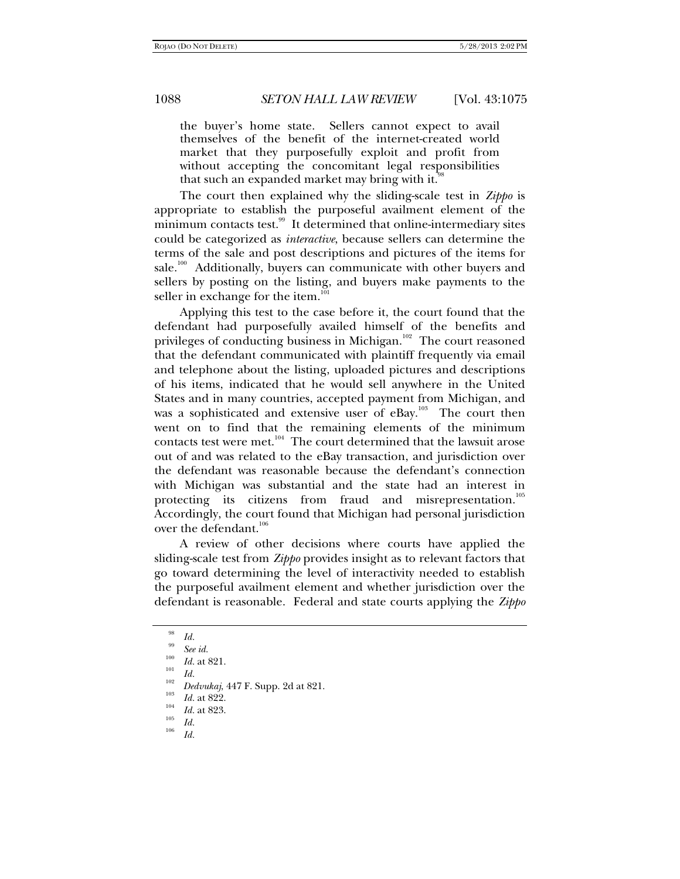the buyer's home state. Sellers cannot expect to avail themselves of the benefit of the internet-created world market that they purposefully exploit and profit from without accepting the concomitant legal responsibilities that such an expanded market may bring with it. $\ddot{\cdot}$ 

The court then explained why the sliding-scale test in *Zippo* is appropriate to establish the purposeful availment element of the minimum contacts test.<sup>99</sup> It determined that online-intermediary sites could be categorized as *interactive*, because sellers can determine the terms of the sale and post descriptions and pictures of the items for sale.<sup>100</sup> Additionally, buyers can communicate with other buyers and sellers by posting on the listing, and buyers make payments to the seller in exchange for the item.<sup>1</sup>

Applying this test to the case before it, the court found that the defendant had purposefully availed himself of the benefits and privileges of conducting business in Michigan.<sup>102</sup> The court reasoned that the defendant communicated with plaintiff frequently via email and telephone about the listing, uploaded pictures and descriptions of his items, indicated that he would sell anywhere in the United States and in many countries, accepted payment from Michigan, and was a sophisticated and extensive user of eBay.<sup>103</sup> The court then went on to find that the remaining elements of the minimum contacts test were met.<sup>104</sup> The court determined that the lawsuit arose out of and was related to the eBay transaction, and jurisdiction over the defendant was reasonable because the defendant's connection with Michigan was substantial and the state had an interest in protecting its citizens from fraud and misrepresentation.<sup>105</sup> Accordingly, the court found that Michigan had personal jurisdiction over the defendant.<sup>106</sup>

A review of other decisions where courts have applied the sliding-scale test from *Zippo* provides insight as to relevant factors that go toward determining the level of interactivity needed to establish the purposeful availment element and whether jurisdiction over the defendant is reasonable. Federal and state courts applying the *Zippo* 

<sup>&</sup>lt;sup>98</sup> Id.<br><sup>99</sup> See id.

<sup>&</sup>lt;sup>100</sup> *Id.* at 821.<br><sup>101</sup> *Id.* 102 **D** *I*<sub>2</sub> **D** *I*<sub>2</sub> **I**<sub>2</sub> **I**<sub>2</sub> **I**<sub>2</sub> **I**<sub>2</sub> **I**<sub>2</sub> **I**<sub>2</sub> **I**<sub>2</sub> **I**<sub>2</sub> **I**<sub>2</sub> **I**<sub>2</sub> **I**<sub>2</sub> **I**<sub>2</sub> **I**<sub>2</sub> **I**<sub>2</sub> **I**<sub>2</sub> **I**<sub>2</sub> **I**<sub>2</sub> **I**<sub>2</sub> **I**<sub>2</sub> **I**<sub>2</sub> **I**<sub>2</sub> **I**<sub>2</sub> **I**<sub>2</sub> **I** 

*Dedvukaj*, 447 F. Supp. 2d at 821.<br>*Id.* at 822.

<sup>&</sup>lt;sup>104</sup> *Id.* at 823.<br><sup>105</sup> *Id.*<br><sup>106</sup> *II*</sup>

*Id.*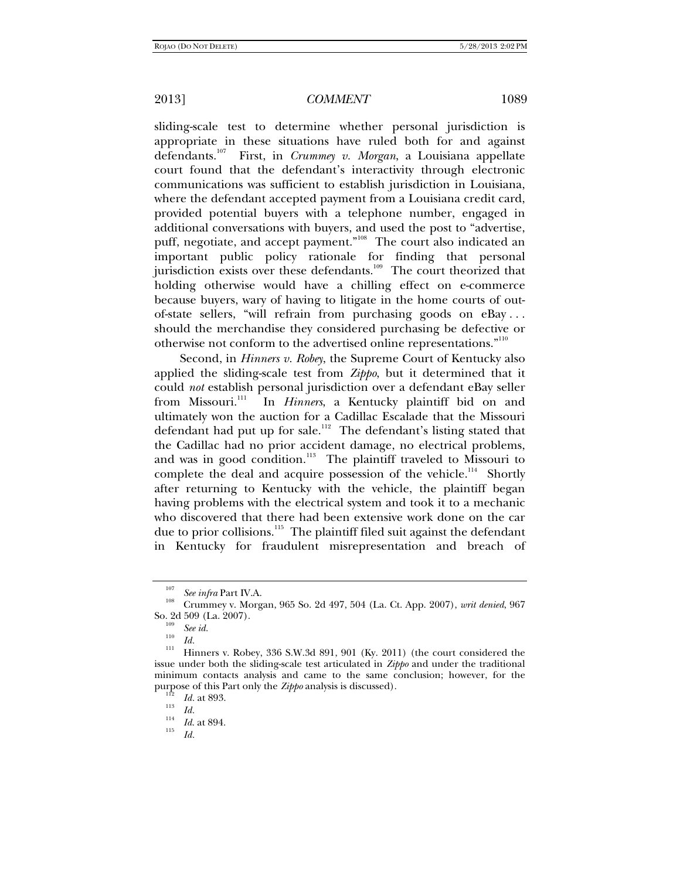sliding-scale test to determine whether personal jurisdiction is appropriate in these situations have ruled both for and against defendants.107 First, in *Crummey v. Morgan*, a Louisiana appellate court found that the defendant's interactivity through electronic communications was sufficient to establish jurisdiction in Louisiana, where the defendant accepted payment from a Louisiana credit card, provided potential buyers with a telephone number, engaged in additional conversations with buyers, and used the post to "advertise, puff, negotiate, and accept payment."<sup>108</sup> The court also indicated an important public policy rationale for finding that personal jurisdiction exists over these defendants.<sup>109</sup> The court theorized that holding otherwise would have a chilling effect on e-commerce because buyers, wary of having to litigate in the home courts of outof-state sellers, "will refrain from purchasing goods on eBay . . . should the merchandise they considered purchasing be defective or otherwise not conform to the advertised online representations."110

Second, in *Hinners v. Robey*, the Supreme Court of Kentucky also applied the sliding-scale test from *Zippo*, but it determined that it could *not* establish personal jurisdiction over a defendant eBay seller from Missouri.<sup>111</sup> In *Hinners*, a Kentucky plaintiff bid on and In *Hinners*, a Kentucky plaintiff bid on and ultimately won the auction for a Cadillac Escalade that the Missouri defendant had put up for sale.<sup>112</sup> The defendant's listing stated that the Cadillac had no prior accident damage, no electrical problems, and was in good condition.<sup>113</sup> The plaintiff traveled to Missouri to complete the deal and acquire possession of the vehicle.<sup>114</sup> Shortly after returning to Kentucky with the vehicle, the plaintiff began having problems with the electrical system and took it to a mechanic who discovered that there had been extensive work done on the car due to prior collisions.<sup>115</sup> The plaintiff filed suit against the defendant in Kentucky for fraudulent misrepresentation and breach of

<sup>&</sup>lt;sup>107</sup> See infra Part IV.A.<br><sup>108</sup> Crummey v. Morgan, 965 So. 2d 497, 504 (La. Ct. App. 2007), *writ denied*, 967<br>So. 2d 509 (La. 2007).

Some *ing*<br><sup>110</sup> *Id.*<br><sup>111</sup> Hinners v. Robey, 336 S.W.3d 891, 901 (Ky. 2011) (the court considered the issue under both the sliding-scale test articulated in *Zippo* and under the traditional minimum contacts analysis and came to the same conclusion; however, for the purpose of this Part only the *Zippo* analysis is discussed).<br><sup>112</sup> *Id.* at 893.<br>*Id.* 

 $\frac{114}{115}$  *Id.* at 894.

*Id.*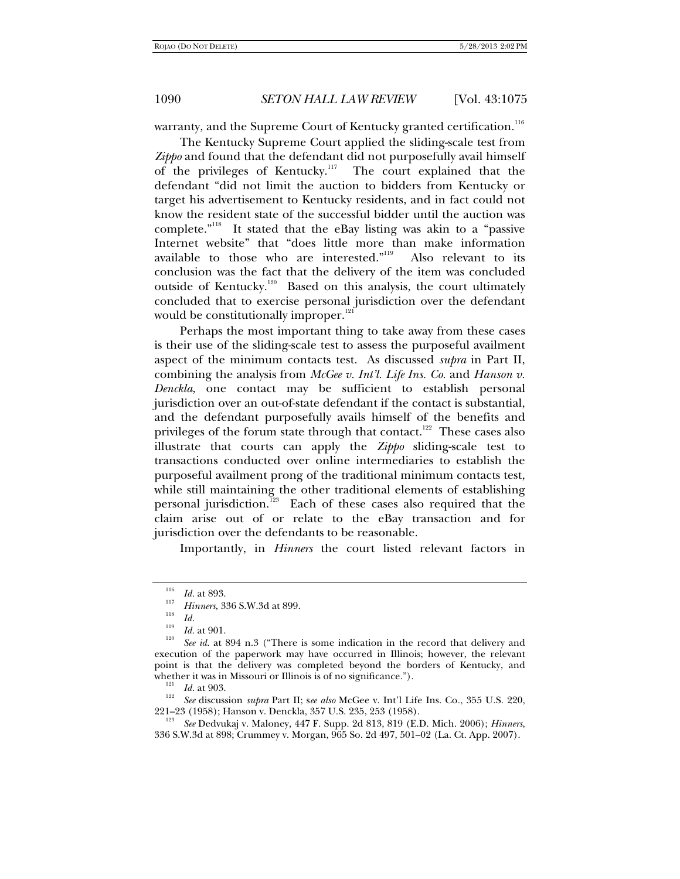warranty, and the Supreme Court of Kentucky granted certification.<sup>116</sup>

The Kentucky Supreme Court applied the sliding-scale test from *Zippo* and found that the defendant did not purposefully avail himself of the privileges of Kentucky.<sup>117</sup> The court explained that the defendant "did not limit the auction to bidders from Kentucky or target his advertisement to Kentucky residents, and in fact could not know the resident state of the successful bidder until the auction was complete."<sup>118</sup> It stated that the eBay listing was akin to a "passive Internet website" that "does little more than make information available to those who are interested."<sup>119</sup> Also relevant to its conclusion was the fact that the delivery of the item was concluded outside of Kentucky.<sup>120</sup> Based on this analysis, the court ultimately concluded that to exercise personal jurisdiction over the defendant would be constitutionally improper. $121$ 

Perhaps the most important thing to take away from these cases is their use of the sliding-scale test to assess the purposeful availment aspect of the minimum contacts test. As discussed *supra* in Part II, combining the analysis from *McGee v. Int'l. Life Ins. Co.* and *Hanson v. Denckla*, one contact may be sufficient to establish personal jurisdiction over an out-of-state defendant if the contact is substantial, and the defendant purposefully avails himself of the benefits and privileges of the forum state through that contact.<sup>122</sup> These cases also illustrate that courts can apply the *Zippo* sliding-scale test to transactions conducted over online intermediaries to establish the purposeful availment prong of the traditional minimum contacts test, while still maintaining the other traditional elements of establishing personal jurisdiction.<sup>123</sup> Each of these cases also required that the claim arise out of or relate to the eBay transaction and for jurisdiction over the defendants to be reasonable.

Importantly, in *Hinners* the court listed relevant factors in

 $\frac{116}{117}$  *Id.* at 893.

*Hinners*, 336 S.W.3d at 899.<br> *Id. Id.* at 901.<br>
<sup>120</sup> *Id.* at 901.

*See id.* at 894 n.3 ("There is some indication in the record that delivery and execution of the paperwork may have occurred in Illinois; however, the relevant point is that the delivery was completed beyond the borders of Kentucky, and whether it was in Missouri or Illinois is of no significance.").

<sup>&</sup>lt;sup>121</sup> *Id.* at 903.<br><sup>122</sup> *See* discussion *supra* Part II; see also McGee v. Int'l Life Ins. Co., 355 U.S. 220, 221–23 (1958); Hanson v. Denckla, 357 U.S. 235, 253 (1958). 123

*See* Dedvukaj v. Maloney, 447 F. Supp. 2d 813, 819 (E.D. Mich. 2006); *Hinners*, 336 S.W.3d at 898; Crummey v. Morgan, 965 So. 2d 497, 501–02 (La. Ct. App. 2007).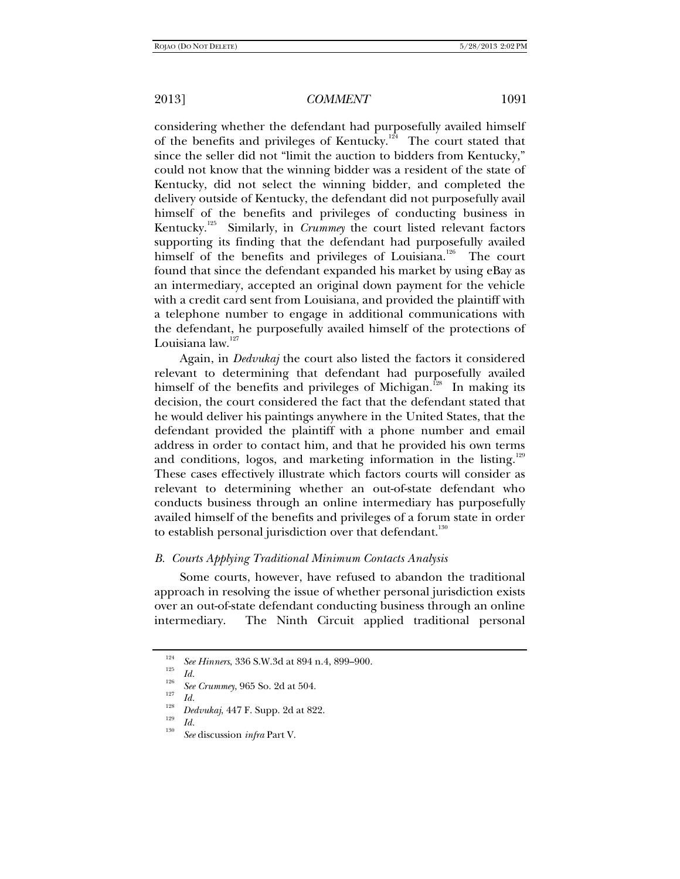considering whether the defendant had purposefully availed himself of the benefits and privileges of Kentucky.<sup>124</sup> The court stated that since the seller did not "limit the auction to bidders from Kentucky," could not know that the winning bidder was a resident of the state of Kentucky, did not select the winning bidder, and completed the delivery outside of Kentucky, the defendant did not purposefully avail himself of the benefits and privileges of conducting business in Kentucky.125 Similarly, in *Crummey* the court listed relevant factors supporting its finding that the defendant had purposefully availed himself of the benefits and privileges of Louisiana.<sup>126</sup> The court found that since the defendant expanded his market by using eBay as an intermediary, accepted an original down payment for the vehicle with a credit card sent from Louisiana, and provided the plaintiff with a telephone number to engage in additional communications with the defendant, he purposefully availed himself of the protections of Louisiana law.<sup>127</sup>

Again, in *Dedvukaj* the court also listed the factors it considered relevant to determining that defendant had purposefully availed himself of the benefits and privileges of Michigan.<sup>128</sup> In making its decision, the court considered the fact that the defendant stated that he would deliver his paintings anywhere in the United States, that the defendant provided the plaintiff with a phone number and email address in order to contact him, and that he provided his own terms and conditions, logos, and marketing information in the listing.<sup>129</sup> These cases effectively illustrate which factors courts will consider as relevant to determining whether an out-of-state defendant who conducts business through an online intermediary has purposefully availed himself of the benefits and privileges of a forum state in order to establish personal jurisdiction over that defendant.<sup>130</sup>

### *B. Courts Applying Traditional Minimum Contacts Analysis*

Some courts, however, have refused to abandon the traditional approach in resolving the issue of whether personal jurisdiction exists over an out-of-state defendant conducting business through an online intermediary. The Ninth Circuit applied traditional personal

<sup>&</sup>lt;sup>124</sup> See Hinners, 336 S.W.3d at 894 n.4, 899–900.<br> *Id.* 

<sup>&</sup>lt;sup>126</sup> *See Crummey*, 965 So. 2d at 504.<br><sup>127</sup> *Id.* 

<sup>&</sup>lt;sup>128</sup> *Dedvukaj*, 447 F. Supp. 2d at 822.<br><sup>129</sup> *Id. See* discussion *infra* Part V.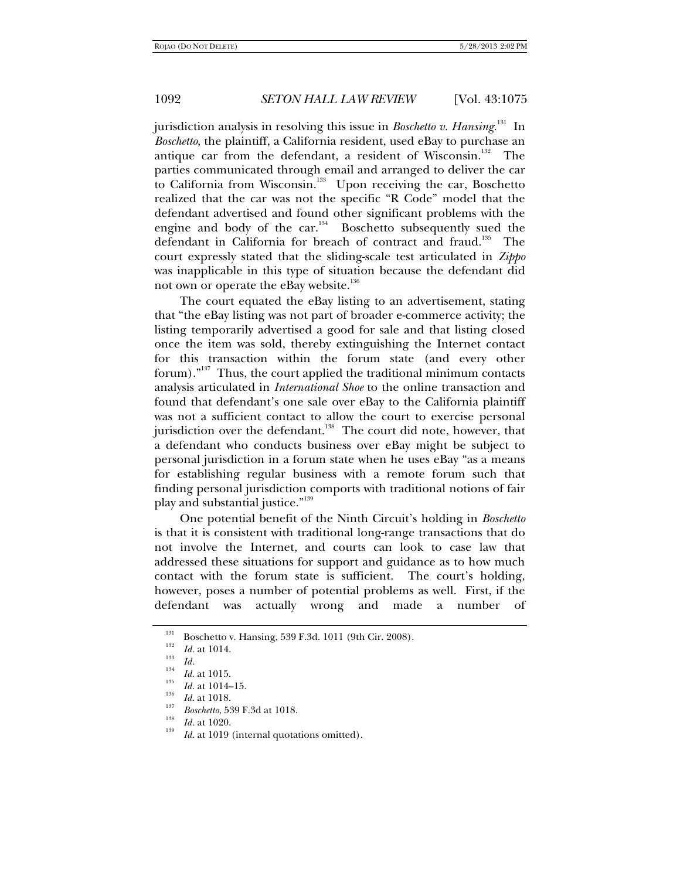jurisdiction analysis in resolving this issue in *Boschetto v. Hansing.*131 In *Boschetto*, the plaintiff, a California resident, used eBay to purchase an antique car from the defendant, a resident of Wisconsin.<sup>132</sup> The parties communicated through email and arranged to deliver the car to California from Wisconsin.<sup>133</sup> Upon receiving the car, Boschetto realized that the car was not the specific "R Code" model that the defendant advertised and found other significant problems with the engine and body of the  $car.^{134}$  Boschetto subsequently sued the defendant in California for breach of contract and fraud.<sup>135</sup> The court expressly stated that the sliding-scale test articulated in *Zippo* was inapplicable in this type of situation because the defendant did not own or operate the eBay website.<sup>136</sup>

The court equated the eBay listing to an advertisement, stating that "the eBay listing was not part of broader e-commerce activity; the listing temporarily advertised a good for sale and that listing closed once the item was sold, thereby extinguishing the Internet contact for this transaction within the forum state (and every other forum)."<sup>137</sup> Thus, the court applied the traditional minimum contacts analysis articulated in *International Shoe* to the online transaction and found that defendant's one sale over eBay to the California plaintiff was not a sufficient contact to allow the court to exercise personal jurisdiction over the defendant.<sup>138</sup> The court did note, however, that a defendant who conducts business over eBay might be subject to personal jurisdiction in a forum state when he uses eBay "as a means for establishing regular business with a remote forum such that finding personal jurisdiction comports with traditional notions of fair play and substantial justice."<sup>139</sup>

One potential benefit of the Ninth Circuit's holding in *Boschetto* is that it is consistent with traditional long-range transactions that do not involve the Internet, and courts can look to case law that addressed these situations for support and guidance as to how much contact with the forum state is sufficient. The court's holding, however, poses a number of potential problems as well. First, if the defendant was actually wrong and made a number of

<sup>&</sup>lt;sup>131</sup> Boschetto v. Hansing, 539 F.3d. 1011 (9th Cir. 2008).<br> *Id.* at 1014.

<sup>&</sup>lt;sup>133</sup> *Id. Id. Id.**Id.* **at 1015.** <sup>135</sup>

<sup>&</sup>lt;sup>135</sup> *Id.* at 1014–15.<br><sup>136</sup> *Id.* at 1018.

<sup>&</sup>lt;sup>137</sup> *Boschetto*, 539 F.3d at 1018.<br><sup>138</sup> *Id.* at 1020.

*Id.* at 1019 (internal quotations omitted).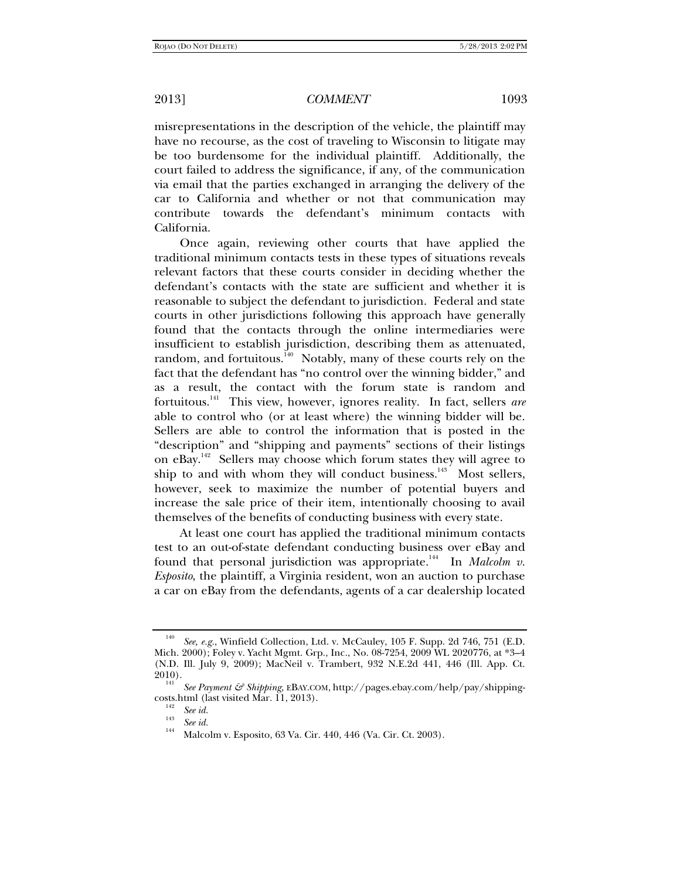misrepresentations in the description of the vehicle, the plaintiff may have no recourse, as the cost of traveling to Wisconsin to litigate may be too burdensome for the individual plaintiff. Additionally, the court failed to address the significance, if any, of the communication via email that the parties exchanged in arranging the delivery of the car to California and whether or not that communication may contribute towards the defendant's minimum contacts with California.

Once again, reviewing other courts that have applied the traditional minimum contacts tests in these types of situations reveals relevant factors that these courts consider in deciding whether the defendant's contacts with the state are sufficient and whether it is reasonable to subject the defendant to jurisdiction. Federal and state courts in other jurisdictions following this approach have generally found that the contacts through the online intermediaries were insufficient to establish jurisdiction, describing them as attenuated, random, and fortuitous.<sup>140</sup> Notably, many of these courts rely on the fact that the defendant has "no control over the winning bidder," and as a result, the contact with the forum state is random and fortuitous.141 This view, however, ignores reality. In fact, sellers *are* able to control who (or at least where) the winning bidder will be. Sellers are able to control the information that is posted in the "description" and "shipping and payments" sections of their listings on eBay.<sup>142</sup>Sellers may choose which forum states they will agree to ship to and with whom they will conduct business.<sup>143</sup> Most sellers, however, seek to maximize the number of potential buyers and increase the sale price of their item, intentionally choosing to avail themselves of the benefits of conducting business with every state.

At least one court has applied the traditional minimum contacts test to an out-of-state defendant conducting business over eBay and found that personal jurisdiction was appropriate.<sup>144</sup> In *Malcolm v. Esposito*, the plaintiff, a Virginia resident, won an auction to purchase a car on eBay from the defendants, agents of a car dealership located

See, e.g., Winfield Collection, Ltd. v. McCauley, 105 F. Supp. 2d 746, 751 (E.D. Mich. 2000); Foley v. Yacht Mgmt. Grp., Inc., No. 08-7254, 2009 WL 2020776, at \*3–4 (N.D. Ill. July 9, 2009); MacNeil v. Trambert, 932 N.E.2d 441, 446 (Ill. App. Ct. 2010). 141 *See Payment & Shipping*, EBAY.COM, http://pages.ebay.com/help/pay/shipping-

costs.html (last visited Mar. 11, 2013).<br>
See id.

*See id.* 143 *See id.* 144 Malcolm v. Esposito, 63 Va. Cir. 440, 446 (Va. Cir. Ct. 2003).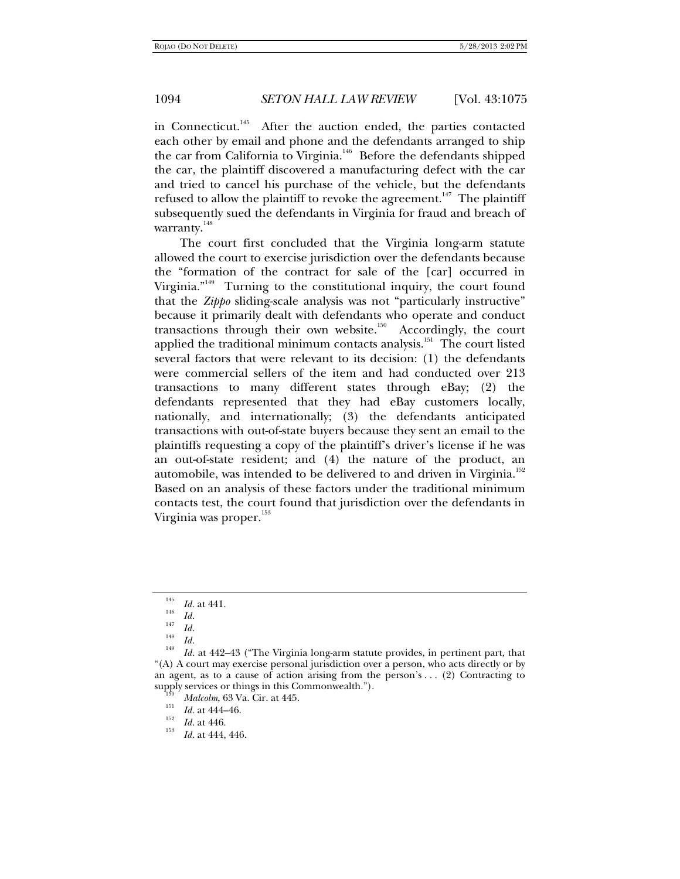in Connecticut.<sup>145</sup> After the auction ended, the parties contacted each other by email and phone and the defendants arranged to ship the car from California to Virginia.<sup>146</sup> Before the defendants shipped the car, the plaintiff discovered a manufacturing defect with the car and tried to cancel his purchase of the vehicle, but the defendants refused to allow the plaintiff to revoke the agreement.<sup>147</sup> The plaintiff subsequently sued the defendants in Virginia for fraud and breach of warranty.<sup>148</sup>

The court first concluded that the Virginia long-arm statute allowed the court to exercise jurisdiction over the defendants because the "formation of the contract for sale of the [car] occurred in Virginia. $n_{149}$  Turning to the constitutional inquiry, the court found that the *Zippo* sliding-scale analysis was not "particularly instructive" because it primarily dealt with defendants who operate and conduct transactions through their own website. $150$  Accordingly, the court applied the traditional minimum contacts analysis.<sup>151</sup> The court listed several factors that were relevant to its decision: (1) the defendants were commercial sellers of the item and had conducted over 213 transactions to many different states through eBay; (2) the defendants represented that they had eBay customers locally, nationally, and internationally; (3) the defendants anticipated transactions with out-of-state buyers because they sent an email to the plaintiffs requesting a copy of the plaintiff's driver's license if he was an out-of-state resident; and (4) the nature of the product, an automobile, was intended to be delivered to and driven in Virginia. $^{152}$ Based on an analysis of these factors under the traditional minimum contacts test, the court found that jurisdiction over the defendants in Virginia was proper.<sup>153</sup>

<sup>&</sup>lt;sup>145</sup> *Id.* at 441.<br><sup>146</sup> *Id.* 

<sup>&</sup>lt;sup>140</sup> *Id.*<br><sup>147</sup> *Id.*<br><sup>148</sup> *Id.*<br><sup>149</sup> *IJ* 

*Id.* at 442–43 ("The Virginia long-arm statute provides, in pertinent part, that "(A) A court may exercise personal jurisdiction over a person, who acts directly or by an agent, as to a cause of action arising from the person's  $\dots$  (2) Contracting to supply services or things in this Commonwealth.").<br><sup>150</sup> *Malcolm*, 63 Va. Cir. at 445.<br>*151 Id.* at 444–46.

 $I_{152}$  *Id.* at 446.

*Id.* at 444, 446.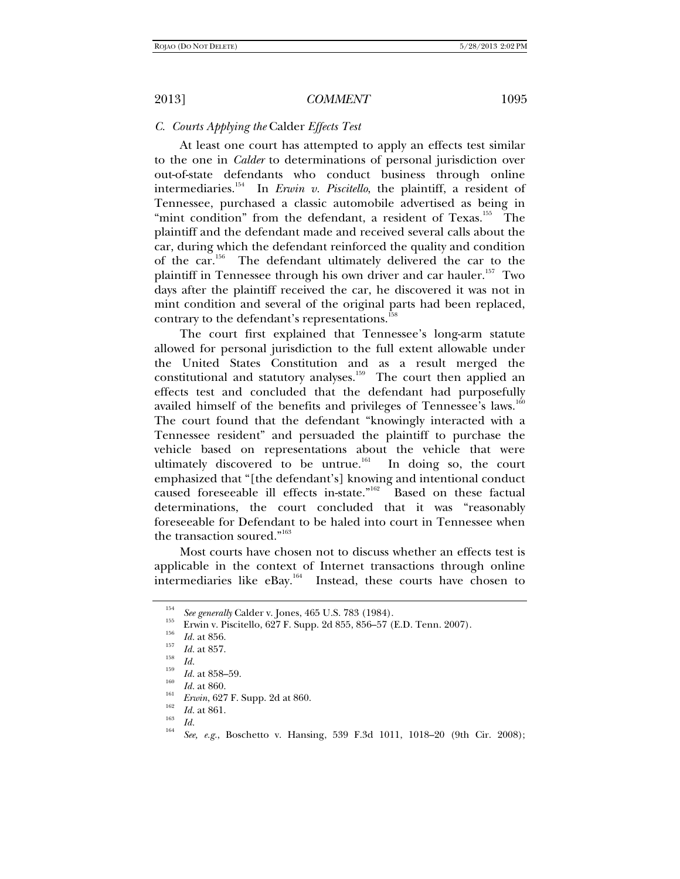## *C. Courts Applying the* Calder *Effects Test*

At least one court has attempted to apply an effects test similar to the one in *Calder* to determinations of personal jurisdiction over out-of-state defendants who conduct business through online intermediaries.154 In *Erwin v. Piscitello*, the plaintiff, a resident of Tennessee, purchased a classic automobile advertised as being in "mint condition" from the defendant, a resident of Texas.<sup>155</sup> The plaintiff and the defendant made and received several calls about the car, during which the defendant reinforced the quality and condition of the car.<sup>156</sup> The defendant ultimately delivered the car to the plaintiff in Tennessee through his own driver and car hauler.<sup>157</sup> Two days after the plaintiff received the car, he discovered it was not in mint condition and several of the original parts had been replaced, contrary to the defendant's representations.<sup>1</sup>

The court first explained that Tennessee's long-arm statute allowed for personal jurisdiction to the full extent allowable under the United States Constitution and as a result merged the constitutional and statutory analyses.<sup>159</sup> The court then applied an effects test and concluded that the defendant had purposefully availed himself of the benefits and privileges of Tennessee's laws.<sup>160</sup> The court found that the defendant "knowingly interacted with a Tennessee resident" and persuaded the plaintiff to purchase the vehicle based on representations about the vehicle that were ultimately discovered to be untrue.<sup>161</sup> In doing so, the court emphasized that "[the defendant's] knowing and intentional conduct caused foreseeable ill effects in-state."<sup>162</sup> Based on these factual determinations, the court concluded that it was "reasonably foreseeable for Defendant to be haled into court in Tennessee when the transaction soured."<sup>163</sup>

Most courts have chosen not to discuss whether an effects test is applicable in the context of Internet transactions through online intermediaries like eBay.164 Instead, these courts have chosen to

<sup>154</sup>

<sup>&</sup>lt;sup>134</sup> *See generally* Calder v. Jones, 465 U.S. 783 (1984).<br>
Erwin v. Piscitello, 627 F. Supp. 2d 855, 856–57 (E.D. Tenn. 2007).<br> *Id.* at 856.<br> *Id.* at 857.

<sup>&</sup>lt;sup>158</sup> *Id. Id.* at 858–59.<br><sup>150</sup> *Id.* at 860.

<sup>&</sup>lt;sup>161</sup> *Erwin*, 627 F. Supp. 2d at 860.

 $\begin{array}{cc}\n\frac{162}{163} & \text{Id.} \text{ at } 861.\n\end{array}$ 

*See, e.g.*, Boschetto v. Hansing, 539 F.3d 1011, 1018–20 (9th Cir. 2008);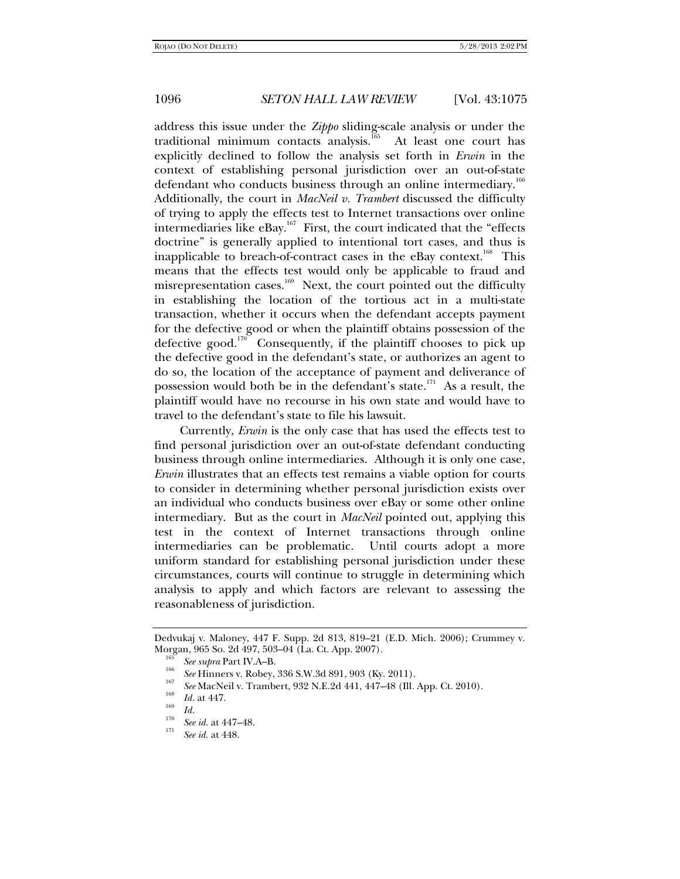address this issue under the *Zippo* sliding-scale analysis or under the traditional minimum contacts analysis.<sup>165</sup> At least one court has explicitly declined to follow the analysis set forth in *Erwin* in the context of establishing personal jurisdiction over an out-of-state defendant who conducts business through an online intermediary.<sup>166</sup> Additionally, the court in *MacNeil v. Trambert* discussed the difficulty of trying to apply the effects test to Internet transactions over online intermediaries like eBay.<sup>167</sup> First, the court indicated that the "effects doctrine" is generally applied to intentional tort cases, and thus is inapplicable to breach-of-contract cases in the eBay context.<sup>168</sup> This means that the effects test would only be applicable to fraud and misrepresentation cases.<sup>169</sup> Next, the court pointed out the difficulty in establishing the location of the tortious act in a multi-state transaction, whether it occurs when the defendant accepts payment for the defective good or when the plaintiff obtains possession of the defective good.<sup>170</sup> Consequently, if the plaintiff chooses to pick up the defective good in the defendant's state, or authorizes an agent to do so, the location of the acceptance of payment and deliverance of possession would both be in the defendant's state.<sup>171</sup> As a result, the plaintiff would have no recourse in his own state and would have to travel to the defendant's state to file his lawsuit.

Currently, *Erwin* is the only case that has used the effects test to find personal jurisdiction over an out-of-state defendant conducting business through online intermediaries. Although it is only one case, *Erwin* illustrates that an effects test remains a viable option for courts to consider in determining whether personal jurisdiction exists over an individual who conducts business over eBay or some other online intermediary. But as the court in *MacNeil* pointed out, applying this test in the context of Internet transactions through online intermediaries can be problematic. Until courts adopt a more uniform standard for establishing personal jurisdiction under these circumstances, courts will continue to struggle in determining which analysis to apply and which factors are relevant to assessing the reasonableness of jurisdiction.

Dedvukaj v. Maloney, 447 F. Supp. 2d 813, 819–21 (E.D. Mich. 2006); Crummey v.

<sup>&</sup>lt;sup>166</sup> See supra Part IV.A–B.<br><sup>166</sup> See Hinners v. Robey, 336 S.W.3d 891, 903 (Ky. 2011).

<sup>&</sup>lt;sup>167</sup> See MacNeil v. Trambert, 932 N.E.2d 441, 447–48 (Ill. App. Ct. 2010).<br><sup>168</sup> *Id.* at 447.

<sup>&</sup>lt;sup>170</sup> *See id.* at 447–48.

*See id.* at 448.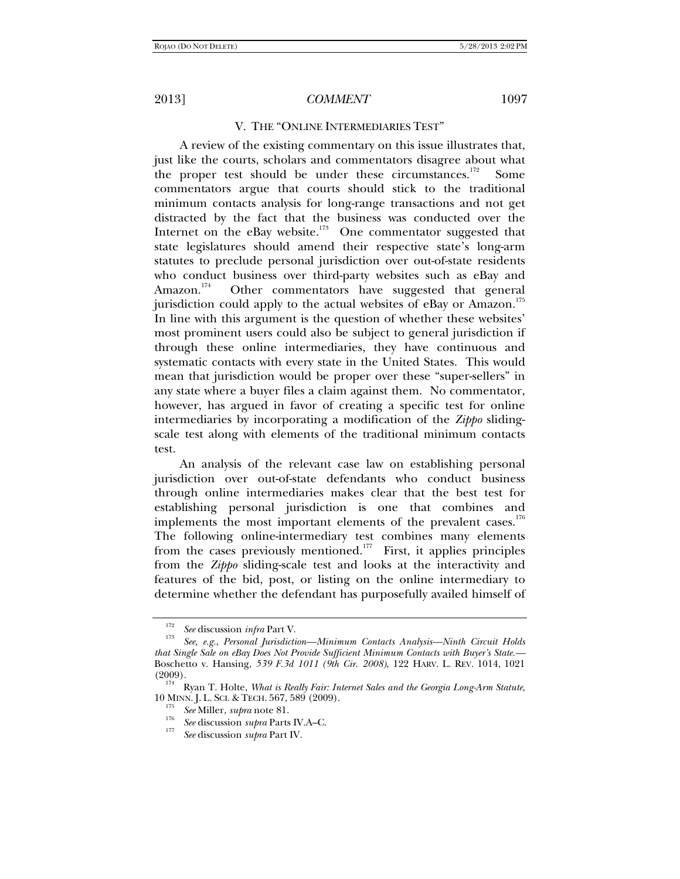V. THE "ONLINE INTERMEDIARIES TEST"

A review of the existing commentary on this issue illustrates that, just like the courts, scholars and commentators disagree about what the proper test should be under these circumstances.<sup>172</sup> Some commentators argue that courts should stick to the traditional minimum contacts analysis for long-range transactions and not get distracted by the fact that the business was conducted over the Internet on the eBay website.<sup>173</sup> One commentator suggested that state legislatures should amend their respective state's long-arm statutes to preclude personal jurisdiction over out-of-state residents who conduct business over third-party websites such as eBay and Amazon.<sup>174</sup> Other commentators have suggested that general jurisdiction could apply to the actual websites of eBay or Amazon. $^{175}$ In line with this argument is the question of whether these websites' most prominent users could also be subject to general jurisdiction if through these online intermediaries, they have continuous and systematic contacts with every state in the United States. This would mean that jurisdiction would be proper over these "super-sellers" in any state where a buyer files a claim against them. No commentator, however, has argued in favor of creating a specific test for online intermediaries by incorporating a modification of the *Zippo* slidingscale test along with elements of the traditional minimum contacts test.

An analysis of the relevant case law on establishing personal jurisdiction over out-of-state defendants who conduct business through online intermediaries makes clear that the best test for establishing personal jurisdiction is one that combines and implements the most important elements of the prevalent cases.<sup>176</sup> The following online-intermediary test combines many elements from the cases previously mentioned.<sup>177</sup> First, it applies principles from the *Zippo* sliding-scale test and looks at the interactivity and features of the bid, post, or listing on the online intermediary to determine whether the defendant has purposefully availed himself of

<sup>172</sup>

*See* discussion *infra* Part V. 173 *See, e.g.*, *Personal Jurisdiction—Minimum Contacts Analysis—Ninth Circuit Holds that Single Sale on eBay Does Not Provide Sufficient Minimum Contacts with Buyer's State.—* Boschetto v. Hansing, *539 F.3d 1011 (9th Cir. 2008)*, 122 HARV. L. REV. 1014, 1021 (2009). 174 Ryan T. Holte, *What is Really Fair: Internet Sales and the Georgia Long-Arm Statute*,

<sup>10</sup> MINN. J. L. SCI. & TECH. 567, 589 (2009).<br><sup>175</sup> See Miller, *supra* note 81.

<sup>&</sup>lt;sup>176</sup> *See* discussion *supra* Parts IV.A–C.

*See* discussion *supra* Part IV.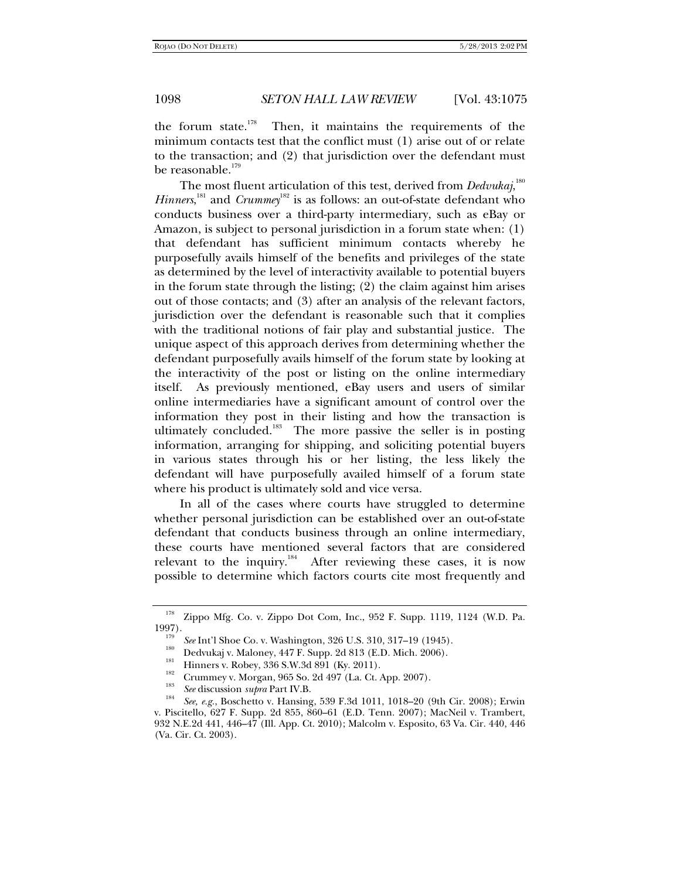the forum state.<sup>178</sup> Then, it maintains the requirements of the minimum contacts test that the conflict must (1) arise out of or relate to the transaction; and (2) that jurisdiction over the defendant must be reasonable.<sup>179</sup>

The most fluent articulation of this test, derived from *Dedvukaj*,  $^{\rm{180}}$ *Hinners*,<sup>181</sup> and *Crummey*<sup>182</sup> is as follows: an out-of-state defendant who conducts business over a third-party intermediary, such as eBay or Amazon, is subject to personal jurisdiction in a forum state when: (1) that defendant has sufficient minimum contacts whereby he purposefully avails himself of the benefits and privileges of the state as determined by the level of interactivity available to potential buyers in the forum state through the listing; (2) the claim against him arises out of those contacts; and (3) after an analysis of the relevant factors, jurisdiction over the defendant is reasonable such that it complies with the traditional notions of fair play and substantial justice. The unique aspect of this approach derives from determining whether the defendant purposefully avails himself of the forum state by looking at the interactivity of the post or listing on the online intermediary itself. As previously mentioned, eBay users and users of similar online intermediaries have a significant amount of control over the information they post in their listing and how the transaction is ultimately concluded.<sup>183</sup> The more passive the seller is in posting information, arranging for shipping, and soliciting potential buyers in various states through his or her listing, the less likely the defendant will have purposefully availed himself of a forum state where his product is ultimately sold and vice versa.

In all of the cases where courts have struggled to determine whether personal jurisdiction can be established over an out-of-state defendant that conducts business through an online intermediary, these courts have mentioned several factors that are considered relevant to the inquiry.<sup>184</sup> After reviewing these cases, it is now possible to determine which factors courts cite most frequently and

<sup>178</sup> Zippo Mfg. Co. v. Zippo Dot Com, Inc., 952 F. Supp. 1119, 1124 (W.D. Pa. 1997).<br>
<sup>179</sup> See Int'l Shoe Co. v. Washington, 326 U.S. 310, 317–19 (1945).<br>
<sup>180</sup> Dedvukaj v. Maloney, 447 F. Supp. 2d 813 (E.D. Mich. 2006).<br>
<sup>181</sup> Hinners v. Robey, 336 S.W.3d 891 (Ky. 2011).<br>
Crummey v. Morgan, 965 S

<sup>&</sup>lt;sup>184</sup> See, e.g., Boschetto v. Hansing, 539 F.3d 1011, 1018–20 (9th Cir. 2008); Erwin v. Piscitello, 627 F. Supp. 2d 855, 860–61 (E.D. Tenn. 2007); MacNeil v. Trambert, 932 N.E.2d 441, 446–47 (Ill. App. Ct. 2010); Malcolm v. Esposito, 63 Va. Cir. 440, 446 (Va. Cir. Ct. 2003).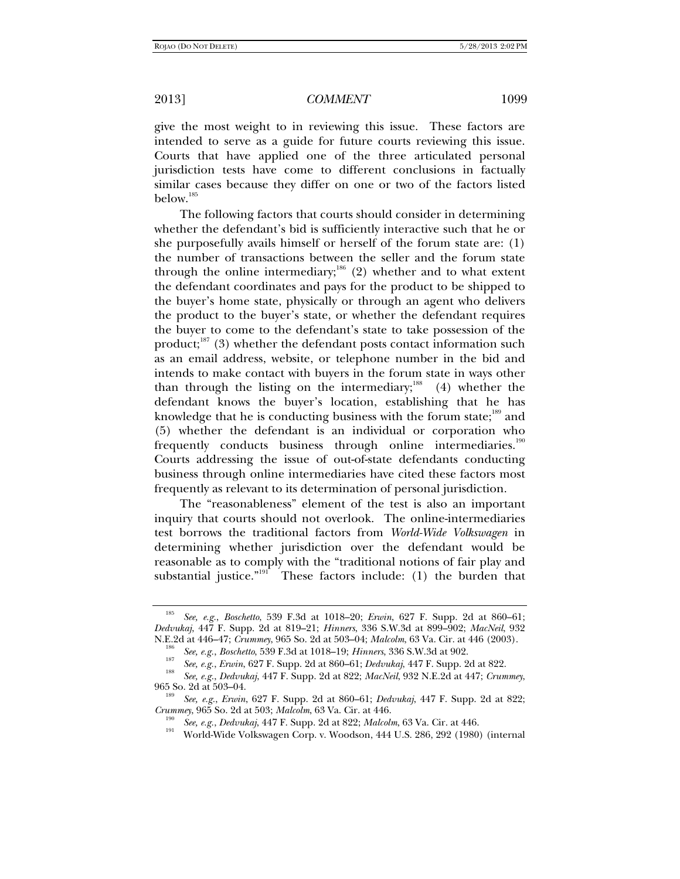give the most weight to in reviewing this issue. These factors are intended to serve as a guide for future courts reviewing this issue. Courts that have applied one of the three articulated personal jurisdiction tests have come to different conclusions in factually similar cases because they differ on one or two of the factors listed below.<sup>185</sup>

The following factors that courts should consider in determining whether the defendant's bid is sufficiently interactive such that he or she purposefully avails himself or herself of the forum state are: (1) the number of transactions between the seller and the forum state through the online intermediary;<sup>186</sup> (2) whether and to what extent the defendant coordinates and pays for the product to be shipped to the buyer's home state, physically or through an agent who delivers the product to the buyer's state, or whether the defendant requires the buyer to come to the defendant's state to take possession of the product; $187$  (3) whether the defendant posts contact information such as an email address, website, or telephone number in the bid and intends to make contact with buyers in the forum state in ways other than through the listing on the intermediary;<sup>188</sup> (4) whether the defendant knows the buyer's location, establishing that he has knowledge that he is conducting business with the forum state; $\frac{189}{180}$  and (5) whether the defendant is an individual or corporation who frequently conducts business through online intermediaries.<sup>190</sup> Courts addressing the issue of out-of-state defendants conducting business through online intermediaries have cited these factors most frequently as relevant to its determination of personal jurisdiction.

The "reasonableness" element of the test is also an important inquiry that courts should not overlook. The online-intermediaries test borrows the traditional factors from *World-Wide Volkswagen* in determining whether jurisdiction over the defendant would be reasonable as to comply with the "traditional notions of fair play and substantial justice."<sup>191</sup> These factors include: (1) the burden that

<sup>185</sup> *See, e.g.*, *Boschetto*, 539 F.3d at 1018–20; *Erwin*, 627 F. Supp. 2d at 860–61; *Dedvukaj*, 447 F. Supp. 2d at 819–21; *Hinners*, 336 S.W.3d at 899–902; *MacNeil*, 932 N.E.2d at 446–47; *Crummey*, 965 So. 2d at 503–04; *Malcolm*, 63 Va. Cir. at 446 (2003).<br><sup>186</sup> *See, e.g.*, *Boschetto*, 539 F.3d at 1018–19; *Hinners*, 336 S.W.3d at 902. <sup>187</sup>

<sup>&</sup>lt;sup>187</sup> See, e.g., *Erwin*, 627 F. Supp. 2d at 860–61; *Dedvukaj*, 447 F. Supp. 2d at 822.

*See, e.g.*, *Dedvukaj*, 447 F. Supp. 2d at 822; *MacNeil*, 932 N.E.2d at 447; *Crummey*, 965 So. 2d at 503-04.

*See, e.g.*, *Erwin*, 627 F. Supp. 2d at 860–61; *Dedvukaj*, 447 F. Supp. 2d at 822;

<sup>&</sup>lt;sup>190</sup> See, e.g., Dedvukaj, 447 F. Supp. 2d at 822; Malcolm, 63 Va. Cir. at 446.<br><sup>191</sup> World-Wide Volkswagen Corp. v. Woodson, 444 U.S. 286, 292 (1980) (internal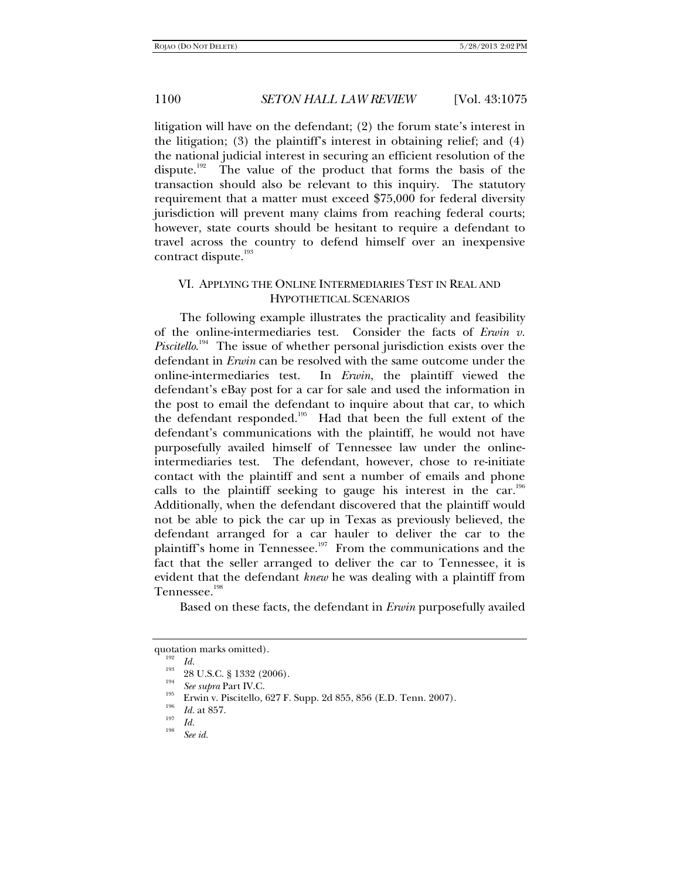litigation will have on the defendant; (2) the forum state's interest in the litigation; (3) the plaintiff's interest in obtaining relief; and (4) the national judicial interest in securing an efficient resolution of the dispute.<sup>192</sup> The value of the product that forms the basis of the transaction should also be relevant to this inquiry. The statutory requirement that a matter must exceed \$75,000 for federal diversity jurisdiction will prevent many claims from reaching federal courts; however, state courts should be hesitant to require a defendant to travel across the country to defend himself over an inexpensive contract dispute.<sup>193</sup>

## VI. APPLYING THE ONLINE INTERMEDIARIES TEST IN REAL AND HYPOTHETICAL SCENARIOS

The following example illustrates the practicality and feasibility of the online-intermediaries test. Consider the facts of *Erwin v. Piscitello*. 194 The issue of whether personal jurisdiction exists over the defendant in *Erwin* can be resolved with the same outcome under the online-intermediaries test. In *Erwin*, the plaintiff viewed the defendant's eBay post for a car for sale and used the information in the post to email the defendant to inquire about that car, to which the defendant responded.<sup>195</sup> Had that been the full extent of the defendant's communications with the plaintiff, he would not have purposefully availed himself of Tennessee law under the onlineintermediaries test. The defendant, however, chose to re-initiate contact with the plaintiff and sent a number of emails and phone calls to the plaintiff seeking to gauge his interest in the car.<sup>196</sup> Additionally, when the defendant discovered that the plaintiff would not be able to pick the car up in Texas as previously believed, the defendant arranged for a car hauler to deliver the car to the plaintiff's home in Tennessee.<sup>197</sup> From the communications and the fact that the seller arranged to deliver the car to Tennessee, it is evident that the defendant *knew* he was dealing with a plaintiff from Tennessee.<sup>198</sup>

Based on these facts, the defendant in *Erwin* purposefully availed

quotation marks omitted).<br><sup>192</sup> *Id.*<br><sup>193</sup> 28 U.S.C. § 1332 (2006).<br><sup>194</sup> *See supra* Part IV.C.

<sup>&</sup>lt;sup>195</sup> Erwin v. Piscitello, 627 F. Supp. 2d 855, 856 (E.D. Tenn. 2007).

<sup>&</sup>lt;sup>196</sup> *Id.* at 857.<br><sup>197</sup> *Id.* 

*See id.*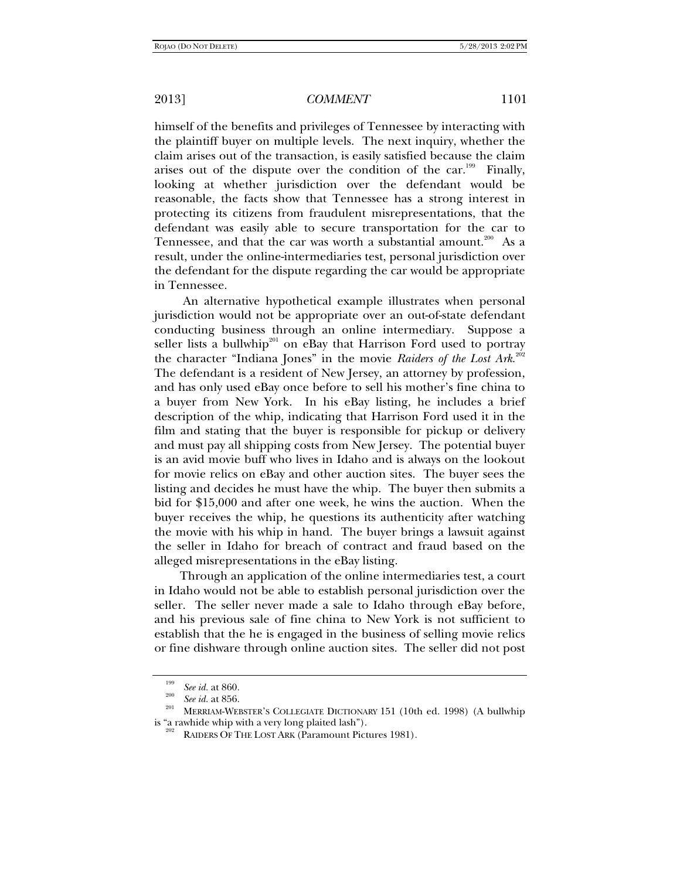himself of the benefits and privileges of Tennessee by interacting with the plaintiff buyer on multiple levels. The next inquiry, whether the claim arises out of the transaction, is easily satisfied because the claim arises out of the dispute over the condition of the car.<sup>199</sup> Finally, looking at whether jurisdiction over the defendant would be reasonable, the facts show that Tennessee has a strong interest in protecting its citizens from fraudulent misrepresentations, that the defendant was easily able to secure transportation for the car to Tennessee, and that the car was worth a substantial amount.<sup>200</sup> As a result, under the online-intermediaries test, personal jurisdiction over the defendant for the dispute regarding the car would be appropriate in Tennessee.

 An alternative hypothetical example illustrates when personal jurisdiction would not be appropriate over an out-of-state defendant conducting business through an online intermediary. Suppose a seller lists a bullwhip<sup>201</sup> on eBay that Harrison Ford used to portray the character "Indiana Jones" in the movie *Raiders of the Lost Ark*. 202 The defendant is a resident of New Jersey, an attorney by profession, and has only used eBay once before to sell his mother's fine china to a buyer from New York. In his eBay listing, he includes a brief description of the whip, indicating that Harrison Ford used it in the film and stating that the buyer is responsible for pickup or delivery and must pay all shipping costs from New Jersey. The potential buyer is an avid movie buff who lives in Idaho and is always on the lookout for movie relics on eBay and other auction sites. The buyer sees the listing and decides he must have the whip. The buyer then submits a bid for \$15,000 and after one week, he wins the auction. When the buyer receives the whip, he questions its authenticity after watching the movie with his whip in hand. The buyer brings a lawsuit against the seller in Idaho for breach of contract and fraud based on the alleged misrepresentations in the eBay listing.

Through an application of the online intermediaries test, a court in Idaho would not be able to establish personal jurisdiction over the seller. The seller never made a sale to Idaho through eBay before, and his previous sale of fine china to New York is not sufficient to establish that the he is engaged in the business of selling movie relics or fine dishware through online auction sites. The seller did not post

<sup>&</sup>lt;sup>199</sup> *See id.* at 860.<br><sup>200</sup> *See id.* at 856.

MERRIAM-WEBSTER'S COLLEGIATE DICTIONARY 151 (10th ed. 1998) (A bullwhip is "a rawhide whip with a very long plaited lash").<br><sup>202</sup> RAIDERS OF THE LOST ARK (Paramount Pictures 1981).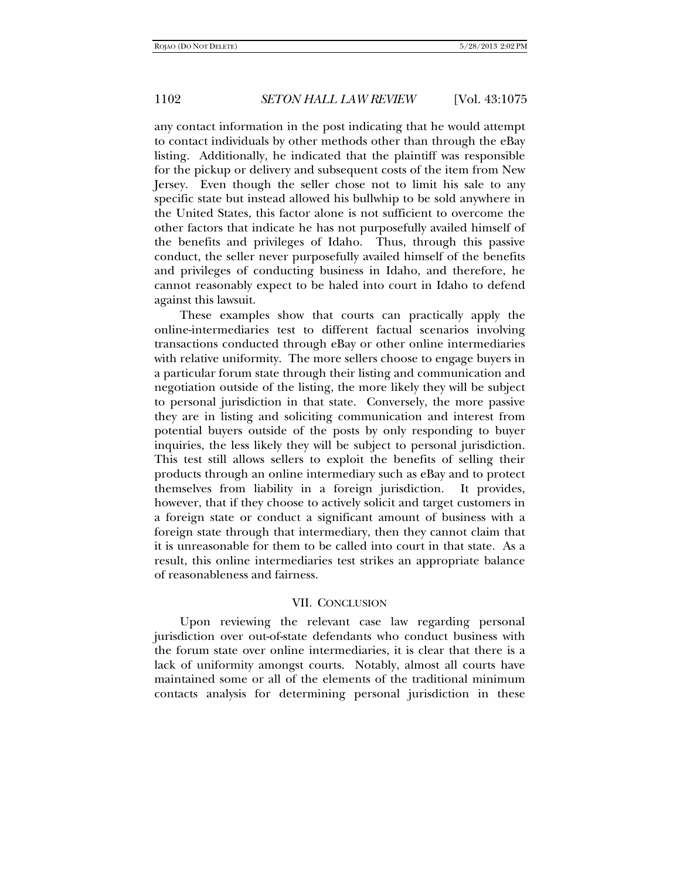any contact information in the post indicating that he would attempt to contact individuals by other methods other than through the eBay listing. Additionally, he indicated that the plaintiff was responsible for the pickup or delivery and subsequent costs of the item from New Jersey. Even though the seller chose not to limit his sale to any specific state but instead allowed his bullwhip to be sold anywhere in the United States, this factor alone is not sufficient to overcome the other factors that indicate he has not purposefully availed himself of the benefits and privileges of Idaho. Thus, through this passive conduct, the seller never purposefully availed himself of the benefits and privileges of conducting business in Idaho, and therefore, he cannot reasonably expect to be haled into court in Idaho to defend against this lawsuit.

These examples show that courts can practically apply the online-intermediaries test to different factual scenarios involving transactions conducted through eBay or other online intermediaries with relative uniformity. The more sellers choose to engage buyers in a particular forum state through their listing and communication and negotiation outside of the listing, the more likely they will be subject to personal jurisdiction in that state. Conversely, the more passive they are in listing and soliciting communication and interest from potential buyers outside of the posts by only responding to buyer inquiries, the less likely they will be subject to personal jurisdiction. This test still allows sellers to exploit the benefits of selling their products through an online intermediary such as eBay and to protect themselves from liability in a foreign jurisdiction. It provides, however, that if they choose to actively solicit and target customers in a foreign state or conduct a significant amount of business with a foreign state through that intermediary, then they cannot claim that it is unreasonable for them to be called into court in that state. As a result, this online intermediaries test strikes an appropriate balance of reasonableness and fairness.

## VII. CONCLUSION

Upon reviewing the relevant case law regarding personal jurisdiction over out-of-state defendants who conduct business with the forum state over online intermediaries, it is clear that there is a lack of uniformity amongst courts. Notably, almost all courts have maintained some or all of the elements of the traditional minimum contacts analysis for determining personal jurisdiction in these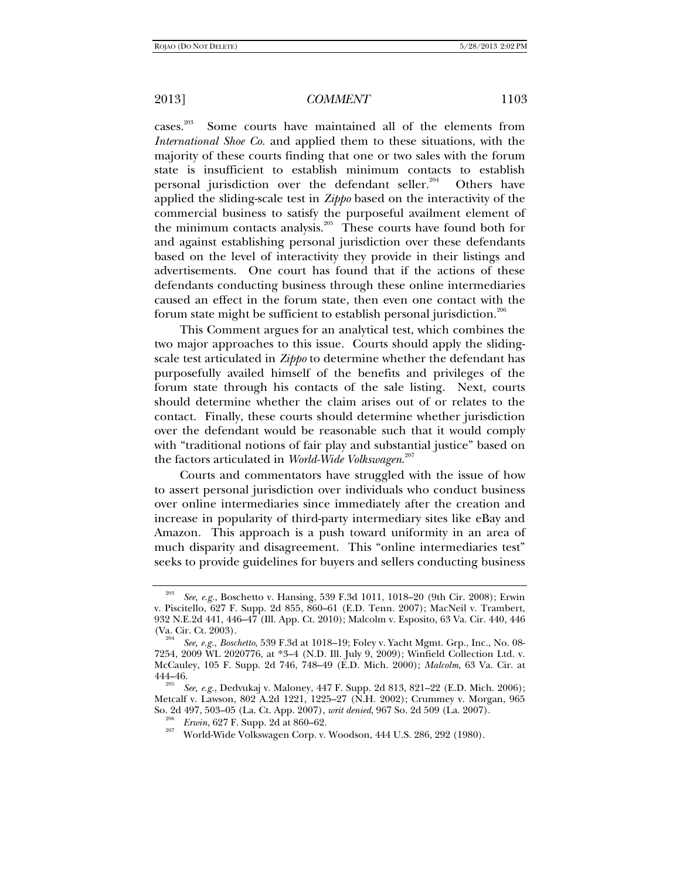cases.203 Some courts have maintained all of the elements from *International Shoe Co.* and applied them to these situations, with the majority of these courts finding that one or two sales with the forum state is insufficient to establish minimum contacts to establish personal jurisdiction over the defendant seller.<sup>204</sup> Others have applied the sliding-scale test in *Zippo* based on the interactivity of the commercial business to satisfy the purposeful availment element of the minimum contacts analysis.205 These courts have found both for and against establishing personal jurisdiction over these defendants based on the level of interactivity they provide in their listings and advertisements. One court has found that if the actions of these defendants conducting business through these online intermediaries caused an effect in the forum state, then even one contact with the forum state might be sufficient to establish personal jurisdiction.206

This Comment argues for an analytical test, which combines the two major approaches to this issue. Courts should apply the slidingscale test articulated in *Zippo* to determine whether the defendant has purposefully availed himself of the benefits and privileges of the forum state through his contacts of the sale listing. Next, courts should determine whether the claim arises out of or relates to the contact. Finally, these courts should determine whether jurisdiction over the defendant would be reasonable such that it would comply with "traditional notions of fair play and substantial justice" based on the factors articulated in *World-Wide Volkswagen*. 207

Courts and commentators have struggled with the issue of how to assert personal jurisdiction over individuals who conduct business over online intermediaries since immediately after the creation and increase in popularity of third-party intermediary sites like eBay and Amazon. This approach is a push toward uniformity in an area of much disparity and disagreement. This "online intermediaries test" seeks to provide guidelines for buyers and sellers conducting business

<sup>203</sup> *See, e.g.*, Boschetto v. Hansing, 539 F.3d 1011, 1018–20 (9th Cir. 2008); Erwin v. Piscitello, 627 F. Supp. 2d 855, 860–61 (E.D. Tenn. 2007); MacNeil v. Trambert, 932 N.E.2d 441, 446–47 (Ill. App. Ct. 2010); Malcolm v. Esposito, 63 Va. Cir. 440, 446 (Va. Cir. Ct. 2003).

*See, e.g.*, *Boschetto*, 539 F.3d at 1018–19; Foley v. Yacht Mgmt. Grp., Inc., No. 08- 7254, 2009 WL 2020776, at \*3–4 (N.D. Ill. July 9, 2009); Winfield Collection Ltd. v. McCauley, 105 F. Supp. 2d 746, 748–49 (E.D. Mich. 2000); *Malcolm*, 63 Va. Cir. at

<sup>444–46. 205</sup> *See, e.g.*, Dedvukaj v. Maloney, 447 F. Supp. 2d 813, 821–22 (E.D. Mich. 2006); Metcalf v. Lawson, 802 A.2d 1221, 1225–27 (N.H. 2002); Crummey v. Morgan, 965 So. 2d 497, 503–05 (La. Ct. App. 2007), *writ denied*, 967 So. 2d 509 (La. 2007).<br><sup>206</sup> *Erwin*, 627 F. Supp. 2d at 860–62.<br><sup>207</sup> World-Wide Volkswagen Corp. v. Woodson, 444 U.S. 286, 292 (1980).